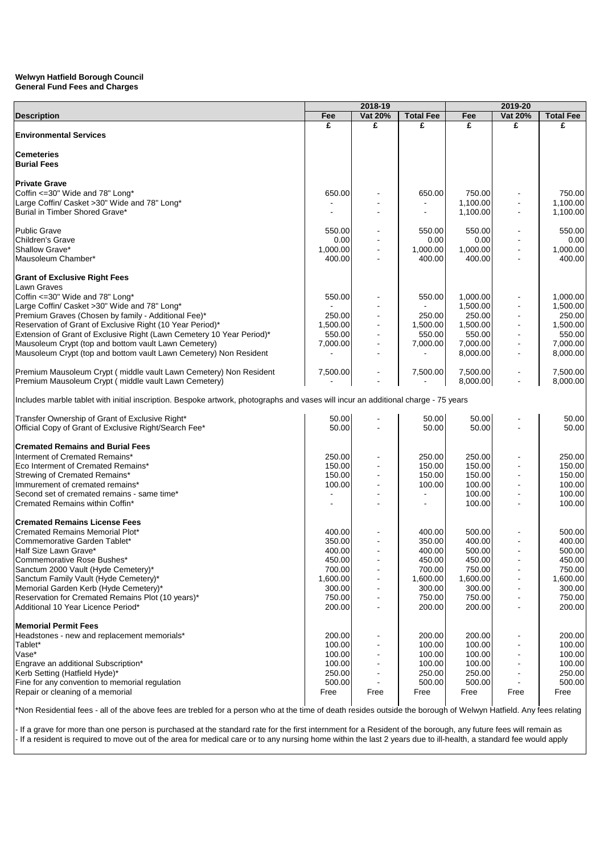|                                                                                                                                    | 2018-19  |                |                  |                      |                          |                      |
|------------------------------------------------------------------------------------------------------------------------------------|----------|----------------|------------------|----------------------|--------------------------|----------------------|
| <b>Description</b>                                                                                                                 | Fee      | Vat 20%        | <b>Total Fee</b> | Fee                  | Vat 20%                  | <b>Total Fee</b>     |
|                                                                                                                                    | £        | £              | £                | £                    | £                        | £                    |
| <b>Environmental Services</b>                                                                                                      |          |                |                  |                      |                          |                      |
|                                                                                                                                    |          |                |                  |                      |                          |                      |
| <b>Cemeteries</b>                                                                                                                  |          |                |                  |                      |                          |                      |
| <b>Burial Fees</b>                                                                                                                 |          |                |                  |                      |                          |                      |
| <b>Private Grave</b>                                                                                                               |          |                |                  |                      |                          |                      |
| Coffin <= 30" Wide and 78" Long*                                                                                                   | 650.00   |                | 650.00           | 750.00               |                          | 750.00               |
| Large Coffin/ Casket >30" Wide and 78" Long*                                                                                       |          |                |                  | 1,100.00             |                          | 1.100.00             |
| Burial in Timber Shored Grave*                                                                                                     |          |                |                  | 1,100.00             | $\overline{\phantom{a}}$ | 1,100.00             |
|                                                                                                                                    |          |                |                  |                      |                          |                      |
| <b>Public Grave</b>                                                                                                                | 550.00   |                | 550.00           | 550.00               |                          | 550.00               |
| Children's Grave                                                                                                                   | 0.00     |                | 0.00             | 0.00                 |                          | 0.00                 |
| Shallow Grave*                                                                                                                     | 1,000.00 |                | 1,000.00         | 1,000.00             |                          | 1,000.00             |
| Mausoleum Chamber*                                                                                                                 | 400.00   |                | 400.00           | 400.00               |                          | 400.00               |
|                                                                                                                                    |          |                |                  |                      |                          |                      |
| <b>Grant of Exclusive Right Fees</b>                                                                                               |          |                |                  |                      |                          |                      |
| Lawn Graves                                                                                                                        |          |                |                  |                      |                          |                      |
| Coffin <= 30" Wide and 78" Long*<br>Large Coffin/ Casket >30" Wide and 78" Long*                                                   | 550.00   |                | 550.00           | 1,000.00<br>1,500.00 |                          | 1,000.00<br>1,500.00 |
| Premium Graves (Chosen by family - Additional Fee)*                                                                                | 250.00   |                | 250.00           | 250.00               | $\blacksquare$           | 250.00               |
| Reservation of Grant of Exclusive Right (10 Year Period)*                                                                          | 1,500.00 |                | 1,500.00         | 1,500.00             | $\blacksquare$           | 1,500.00             |
| Extension of Grant of Exclusive Right (Lawn Cemetery 10 Year Period)*                                                              | 550.00   | $\blacksquare$ | 550.00           | 550.00               | $\blacksquare$           | 550.00               |
| Mausoleum Crypt (top and bottom vault Lawn Cemetery)                                                                               | 7,000.00 |                | 7,000.00         | 7,000.00             |                          | 7,000.00             |
| Mausoleum Crypt (top and bottom vault Lawn Cemetery) Non Resident                                                                  |          |                |                  | 8,000.00             | $\blacksquare$           | 8,000.00             |
|                                                                                                                                    |          |                |                  |                      |                          |                      |
| Premium Mausoleum Crypt (middle vault Lawn Cemetery) Non Resident                                                                  | 7,500.00 |                | 7,500.00         | 7,500.00             |                          | 7,500.00             |
| Premium Mausoleum Crypt (middle vault Lawn Cemetery)                                                                               |          |                |                  | 8,000.00             |                          | 8.000.00             |
|                                                                                                                                    |          |                |                  |                      |                          |                      |
| Includes marble tablet with initial inscription. Bespoke artwork, photographs and vases will incur an additional charge - 75 years |          |                |                  |                      |                          |                      |
|                                                                                                                                    |          |                |                  |                      |                          |                      |
| Transfer Ownership of Grant of Exclusive Right*                                                                                    | 50.00    |                | 50.00            | 50.00                |                          | 50.00                |
| Official Copy of Grant of Exclusive Right/Search Fee*                                                                              | 50.00    |                | 50.00            | 50.00                |                          | 50.00                |
| <b>Cremated Remains and Burial Fees</b>                                                                                            |          |                |                  |                      |                          |                      |
| Interment of Cremated Remains*                                                                                                     | 250.00   |                | 250.00           | 250.00               |                          | 250.00               |
| Eco Interment of Cremated Remains*                                                                                                 | 150.00   |                | 150.00           | 150.00               |                          | 150.00               |
| Strewing of Cremated Remains*                                                                                                      | 150.00   |                | 150.00           | 150.00               |                          | 150.00               |
| Immurement of cremated remains*                                                                                                    | 100.00   |                | 100.00           | 100.00               |                          | 100.00               |
| Second set of cremated remains - same time*                                                                                        |          |                |                  | 100.00               |                          | 100.00               |
| Cremated Remains within Coffin*                                                                                                    |          |                |                  | 100.00               |                          | 100.00               |
|                                                                                                                                    |          |                |                  |                      |                          |                      |
| <b>Cremated Remains License Fees</b>                                                                                               |          |                |                  |                      |                          |                      |
| Cremated Remains Memorial Plot*                                                                                                    | 400.00   |                | 400.00           | 500.00               |                          | 500.00               |
| Commemorative Garden Tablet*                                                                                                       | 350.00   |                | 350.00           | 400.00               |                          | 400.00               |
| Half Size Lawn Grave*                                                                                                              | 400.00   |                | 400.00           | 500.00               |                          | 500.00               |
| Commemorative Rose Bushes*                                                                                                         | 450.00   |                | 450.00           | 450.00               |                          | 450.00               |
| Sanctum 2000 Vault (Hyde Cemetery)*                                                                                                | 700.00   |                | 700.00           | 750.00               |                          | 750.00               |
| Sanctum Family Vault (Hyde Cemetery)*                                                                                              | 1,600.00 |                | 1,600.00         | 1,600.00             |                          | 1,600.00             |
| Memorial Garden Kerb (Hyde Cemetery)*                                                                                              | 300.00   |                | 300.00           | 300.00               | $\overline{\phantom{a}}$ | 300.00               |
| Reservation for Cremated Remains Plot (10 years)*                                                                                  | 750.00   |                | 750.00           | 750.00               | $\overline{\phantom{a}}$ | 750.00               |
| Additional 10 Year Licence Period*                                                                                                 | 200.00   |                | 200.00           | 200.00               | $\blacksquare$           | 200.00               |
| <b>Memorial Permit Fees</b>                                                                                                        |          |                |                  |                      |                          |                      |
| Headstones - new and replacement memorials*                                                                                        | 200.00   |                | 200.00           | 200.00               |                          | 200.00               |
| Tablet*                                                                                                                            | 100.00   |                | 100.00           | 100.00               |                          | 100.00               |
| Vase*                                                                                                                              | 100.00   |                | 100.00           | 100.00               |                          | 100.00               |
| Engrave an additional Subscription*                                                                                                | 100.00   |                | 100.00           | 100.00               |                          | 100.00               |
| Kerb Setting (Hatfield Hyde)*                                                                                                      | 250.00   |                | 250.00           | 250.00               |                          | 250.00               |
| Fine for any convention to memorial regulation                                                                                     | 500.00   |                | 500.00           | 500.00               |                          | 500.00               |
| Repair or cleaning of a memorial                                                                                                   | Free     | Free           | Free             | Free                 | Free                     | Free                 |
|                                                                                                                                    |          |                |                  |                      |                          |                      |

\*Non Residential fees - all of the above fees are trebled for a person who at the time of death resides outside the borough of Welwyn Hatfield. Any fees relating

- If a grave for more than one person is purchased at the standard rate for the first internment for a Resident of the borough, any future fees will remain as - If a resident is required to move out of the area for medical care or to any nursing home within the last 2 years due to ill-health, a standard fee would apply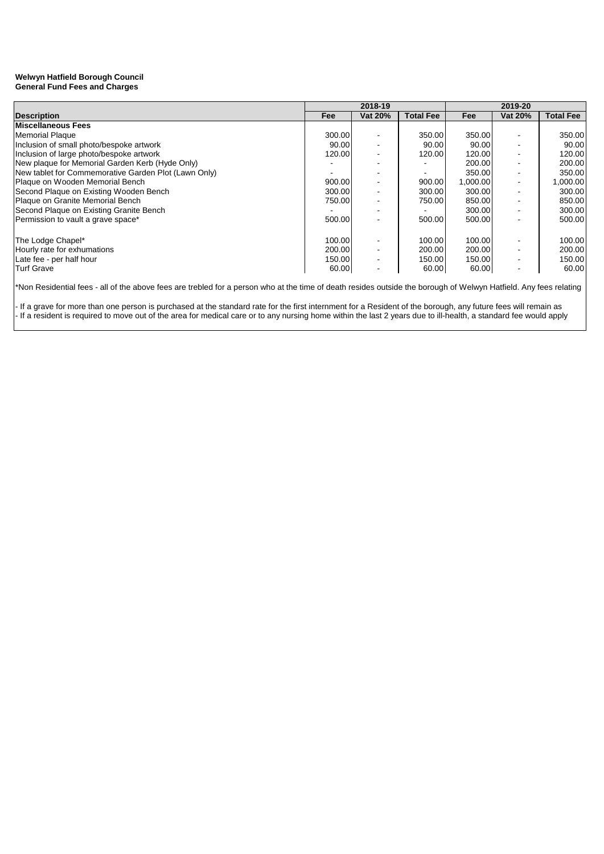|                                                      | 2018-19    |         |                  | 2019-20    |         |                  |
|------------------------------------------------------|------------|---------|------------------|------------|---------|------------------|
| <b>Description</b>                                   | <b>Fee</b> | Vat 20% | <b>Total Fee</b> | <b>Fee</b> | Vat 20% | <b>Total Fee</b> |
| <b>Miscellaneous Fees</b>                            |            |         |                  |            |         |                  |
| Memorial Plaque                                      | 300.00     |         | 350.00           | 350.00     |         | 350.00           |
| Inclusion of small photo/bespoke artwork             | 90.00      |         | 90.00            | 90.00      |         | 90.00            |
| Inclusion of large photo/bespoke artwork             | 120.00     |         | 120.00           | 120.00     |         | 120.00           |
| New plaque for Memorial Garden Kerb (Hyde Only)      |            |         |                  | 200.00     |         | 200.00           |
| New tablet for Commemorative Garden Plot (Lawn Only) |            |         |                  | 350.00     |         | 350.00           |
| Plaque on Wooden Memorial Bench                      | 900.00     |         | 900.00           | 1,000.00   |         | 1,000.00         |
| Second Plaque on Existing Wooden Bench               | 300.00     |         | 300.00           | 300.00     |         | 300.00           |
| Plaque on Granite Memorial Bench                     | 750.00     |         | 750.00           | 850.00     |         | 850.00           |
| Second Plaque on Existing Granite Bench              |            |         |                  | 300.00     |         | 300.00           |
| Permission to vault a grave space*                   | 500.00     |         | 500.00           | 500.00     |         | 500.00           |
|                                                      |            |         |                  |            |         |                  |
| The Lodge Chapel*                                    | 100.00     |         | 100.00           | 100.00     |         | 100.00           |
| Hourly rate for exhumations                          | 200.00     |         | 200.00           | 200.00     |         | 200.00           |
| Late fee - per half hour                             | 150.00     |         | 150.00           | 150.00     |         | 150.00           |
| <b>Turf Grave</b>                                    | 60.00      |         | 60.00            | 60.00      |         | 60.00            |

\*Non Residential fees - all of the above fees are trebled for a person who at the time of death resides outside the borough of Welwyn Hatfield. Any fees relating

- If a grave for more than one person is purchased at the standard rate for the first internment for a Resident of the borough, any future fees will remain as - If a resident is required to move out of the area for medical care or to any nursing home within the last 2 years due to ill-health, a standard fee would apply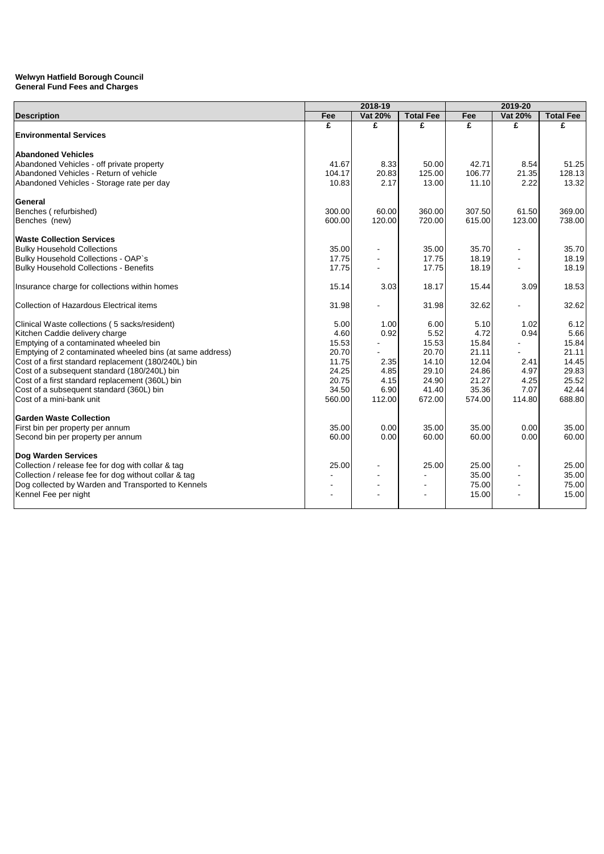|                                                           | 2018-19 |                |                  |        |                |                  |
|-----------------------------------------------------------|---------|----------------|------------------|--------|----------------|------------------|
| <b>Description</b>                                        | Fee     | Vat 20%        | <b>Total Fee</b> | Fee    | <b>Vat 20%</b> | <b>Total Fee</b> |
|                                                           | £       | £              | £                | £      | £              | £                |
| <b>Environmental Services</b>                             |         |                |                  |        |                |                  |
| <b>Abandoned Vehicles</b>                                 |         |                |                  |        |                |                  |
| Abandoned Vehicles - off private property                 | 41.67   | 8.33           | 50.00            | 42.71  | 8.54           | 51.25            |
| Abandoned Vehicles - Return of vehicle                    | 104.17  | 20.83          | 125.00           | 106.77 | 21.35          | 128.13           |
| Abandoned Vehicles - Storage rate per day                 | 10.83   | 2.17           | 13.00            | 11.10  | 2.22           | 13.32            |
| General                                                   |         |                |                  |        |                |                  |
| Benches (refurbished)                                     | 300.00  | 60.00          | 360.00           | 307.50 | 61.50          | 369.00           |
| Benches (new)                                             | 600.00  | 120.00         | 720.00           | 615.00 | 123.00         | 738.00           |
| <b>Waste Collection Services</b>                          |         |                |                  |        |                |                  |
| <b>Bulky Household Collections</b>                        | 35.00   | $\blacksquare$ | 35.00            | 35.70  |                | 35.70            |
| Bulky Household Collections - OAP's                       | 17.75   |                | 17.75            | 18.19  |                | 18.19            |
| <b>Bulky Household Collections - Benefits</b>             | 17.75   |                | 17.75            | 18.19  |                | 18.19            |
| Insurance charge for collections within homes             | 15.14   | 3.03           | 18.17            | 15.44  | 3.09           | 18.53            |
| Collection of Hazardous Electrical items                  | 31.98   |                | 31.98            | 32.62  |                | 32.62            |
| Clinical Waste collections (5 sacks/resident)             | 5.00    | 1.00           | 6.00             | 5.10   | 1.02           | 6.12             |
| Kitchen Caddie delivery charge                            | 4.60    | 0.92           | 5.52             | 4.72   | 0.94           | 5.66             |
| Emptying of a contaminated wheeled bin                    | 15.53   |                | 15.53            | 15.84  |                | 15.84            |
| Emptying of 2 contaminated wheeled bins (at same address) | 20.70   |                | 20.70            | 21.11  |                | 21.11            |
| Cost of a first standard replacement (180/240L) bin       | 11.75   | 2.35           | 14.10            | 12.04  | 2.41           | 14.45            |
| Cost of a subsequent standard (180/240L) bin              | 24.25   | 4.85           | 29.10            | 24.86  | 4.97           | 29.83            |
| Cost of a first standard replacement (360L) bin           | 20.75   | 4.15           | 24.90            | 21.27  | 4.25           | 25.52            |
| Cost of a subsequent standard (360L) bin                  | 34.50   | 6.90           | 41.40            | 35.36  | 7.07           | 42.44            |
| Cost of a mini-bank unit                                  | 560.00  | 112.00         | 672.00           | 574.00 | 114.80         | 688.80           |
| <b>Garden Waste Collection</b>                            |         |                |                  |        |                |                  |
| First bin per property per annum                          | 35.00   | 0.00           | 35.00            | 35.00  | 0.00           | 35.00            |
| Second bin per property per annum                         | 60.00   | 0.00           | 60.00            | 60.00  | 0.00           | 60.00            |
| <b>Dog Warden Services</b>                                |         |                |                  |        |                |                  |
| Collection / release fee for dog with collar & tag        | 25.00   |                | 25.00            | 25.00  |                | 25.00            |
| Collection / release fee for dog without collar & tag     |         |                |                  | 35.00  |                | 35.00            |
| Dog collected by Warden and Transported to Kennels        |         |                |                  | 75.00  |                | 75.00            |
| Kennel Fee per night                                      |         |                |                  | 15.00  |                | 15.00            |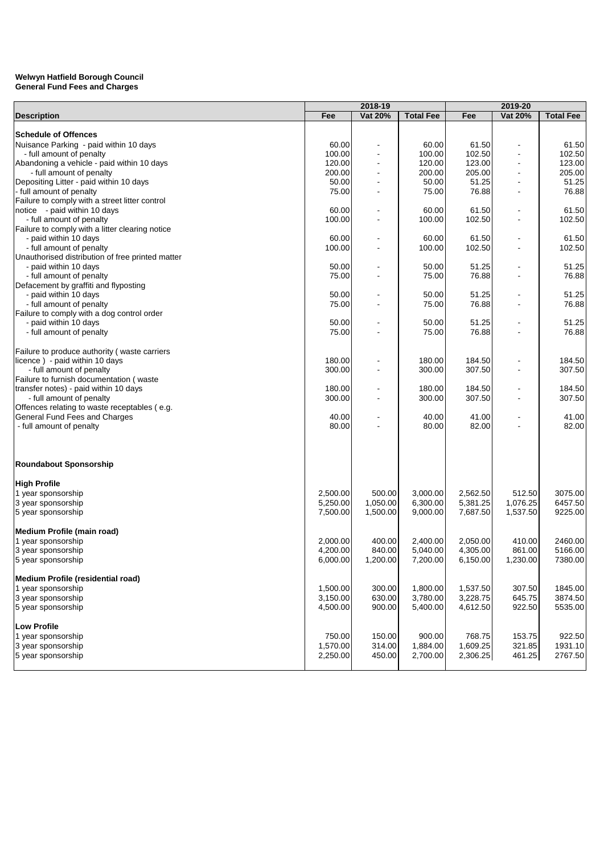|                                                  | 2018-19  |                          |                  |          |                          |                  |
|--------------------------------------------------|----------|--------------------------|------------------|----------|--------------------------|------------------|
| <b>Description</b>                               | Fee      | <b>Vat 20%</b>           | <b>Total Fee</b> | Fee      | Vat 20%                  | <b>Total Fee</b> |
|                                                  |          |                          |                  |          |                          |                  |
| <b>Schedule of Offences</b>                      |          |                          |                  |          |                          |                  |
| Nuisance Parking - paid within 10 days           | 60.00    |                          | 60.00            | 61.50    |                          | 61.50            |
| - full amount of penalty                         | 100.00   |                          | 100.00           | 102.50   |                          | 102.50           |
| Abandoning a vehicle - paid within 10 days       | 120.00   | $\overline{\phantom{a}}$ | 120.00           | 123.00   | $\overline{\phantom{a}}$ | 123.00           |
| - full amount of penalty                         | 200.00   |                          | 200.00           | 205.00   | $\overline{\phantom{a}}$ | 205.00           |
| Depositing Litter - paid within 10 days          | 50.00    | $\overline{\phantom{a}}$ | 50.00            | 51.25    | $\overline{\phantom{a}}$ | 51.25            |
| - full amount of penalty                         | 75.00    |                          | 75.00            | 76.88    |                          | 76.88            |
| Failure to comply with a street litter control   |          |                          |                  |          |                          |                  |
| notice - paid within 10 days                     | 60.00    |                          | 60.00            | 61.50    |                          | 61.50            |
| - full amount of penalty                         | 100.00   |                          | 100.00           | 102.50   |                          | 102.50           |
| Failure to comply with a litter clearing notice  |          |                          |                  |          |                          |                  |
| - paid within 10 days                            | 60.00    |                          | 60.00            | 61.50    |                          | 61.50            |
| - full amount of penalty                         | 100.00   |                          | 100.00           | 102.50   |                          | 102.50           |
| Unauthorised distribution of free printed matter |          |                          |                  |          |                          |                  |
| - paid within 10 days                            | 50.00    |                          | 50.00            | 51.25    |                          | 51.25            |
| - full amount of penalty                         | 75.00    |                          | 75.00            | 76.88    |                          | 76.88            |
| Defacement by graffiti and flyposting            |          |                          |                  |          |                          |                  |
| - paid within 10 days                            | 50.00    |                          | 50.00            | 51.25    |                          | 51.25            |
| - full amount of penalty                         | 75.00    |                          | 75.00            | 76.88    |                          | 76.88            |
| Failure to comply with a dog control order       |          |                          |                  |          |                          |                  |
| - paid within 10 days                            | 50.00    |                          | 50.00            | 51.25    |                          | 51.25            |
| - full amount of penalty                         | 75.00    |                          | 75.00            | 76.88    |                          | 76.88            |
|                                                  |          |                          |                  |          |                          |                  |
| Failure to produce authority (waste carriers     |          |                          |                  |          |                          |                  |
| licence) - paid within 10 days                   | 180.00   |                          | 180.00           | 184.50   |                          | 184.50           |
| - full amount of penalty                         | 300.00   |                          | 300.00           | 307.50   | $\blacksquare$           | 307.50           |
| Failure to furnish documentation (waste          |          |                          |                  |          |                          |                  |
| transfer notes) - paid within 10 days            | 180.00   |                          | 180.00           | 184.50   |                          | 184.50           |
| - full amount of penalty                         | 300.00   |                          | 300.00           | 307.50   |                          | 307.50           |
| Offences relating to waste receptables (e.g.     |          |                          |                  |          |                          |                  |
| General Fund Fees and Charges                    | 40.00    |                          | 40.00            | 41.00    |                          | 41.00            |
| - full amount of penalty                         | 80.00    |                          | 80.00            | 82.00    |                          | 82.00            |
|                                                  |          |                          |                  |          |                          |                  |
|                                                  |          |                          |                  |          |                          |                  |
| <b>Roundabout Sponsorship</b>                    |          |                          |                  |          |                          |                  |
| <b>High Profile</b>                              |          |                          |                  |          |                          |                  |
| 1 year sponsorship                               | 2,500.00 | 500.00                   | 3,000.00         | 2,562.50 | 512.50                   | 3075.00          |
| 3 year sponsorship                               | 5,250.00 | 1,050.00                 | 6,300.00         | 5,381.25 | 1,076.25                 | 6457.50          |
| 5 year sponsorship                               | 7,500.00 | 1,500.00                 | 9,000.00         | 7,687.50 | 1,537.50                 | 9225.00          |
|                                                  |          |                          |                  |          |                          |                  |
| Medium Profile (main road)                       |          |                          |                  |          |                          |                  |
| 1 year sponsorship                               | 2,000.00 | 400.00                   | 2,400.00         | 2.050.00 | 410.00                   | 2460.00          |
| 3 year sponsorship                               | 4,200.00 | 840.00                   | 5,040.00         | 4,305.00 | 861.00                   | 5166.00          |
| 5 year sponsorship                               | 6,000.00 | 1,200.00                 | 7,200.00         | 6,150.00 | 1,230.00                 | 7380.00          |
| Medium Profile (residential road)                |          |                          |                  |          |                          |                  |
| 1 year sponsorship                               | 1,500.00 | 300.00                   | 1,800.00         | 1,537.50 | 307.50                   | 1845.00          |
| 3 year sponsorship                               | 3,150.00 | 630.00                   | 3,780.00         | 3,228.75 | 645.75                   | 3874.50          |
| 5 year sponsorship                               | 4,500.00 | 900.00                   | 5,400.00         | 4,612.50 | 922.50                   | 5535.00          |
|                                                  |          |                          |                  |          |                          |                  |
| <b>Low Profile</b>                               |          |                          |                  |          |                          |                  |
| 1 year sponsorship                               | 750.00   | 150.00                   | 900.00           | 768.75   | 153.75                   | 922.50           |
| 3 year sponsorship                               | 1,570.00 | 314.00                   | 1,884.00         | 1,609.25 | 321.85                   | 1931.10          |
| 5 year sponsorship                               | 2,250.00 | 450.00                   | 2,700.00         | 2,306.25 | 461.25                   | 2767.50          |
|                                                  |          |                          |                  |          |                          |                  |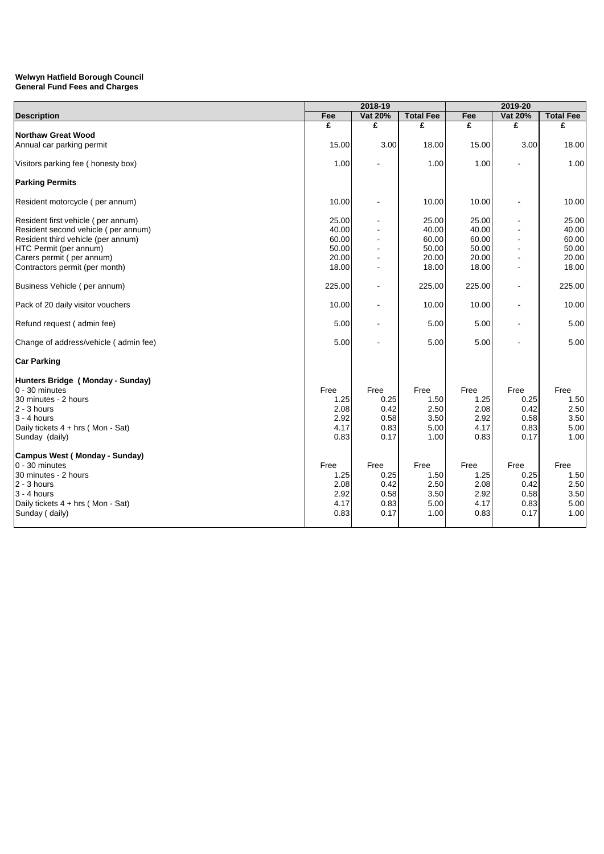|                                       |        | 2018-19        |                  |        |         |                  |
|---------------------------------------|--------|----------------|------------------|--------|---------|------------------|
| <b>Description</b>                    | Fee    | Vat 20%        | <b>Total Fee</b> | Fee    | Vat 20% | <b>Total Fee</b> |
|                                       | £      | £              | £                | £      | £       | £                |
| Northaw Great Wood                    |        |                |                  |        |         |                  |
| Annual car parking permit             | 15.00  | 3.00           | 18.00            | 15.00  | 3.00    | 18.00            |
| Visitors parking fee (honesty box)    | 1.00   |                | 1.00             | 1.00   |         | 1.00             |
| <b>Parking Permits</b>                |        |                |                  |        |         |                  |
| Resident motorcycle (per annum)       | 10.00  |                | 10.00            | 10.00  |         | 10.00            |
| Resident first vehicle (per annum)    | 25.00  |                | 25.00            | 25.00  |         | 25.00            |
| Resident second vehicle (per annum)   | 40.00  |                | 40.00            | 40.00  |         | 40.00            |
| Resident third vehicle (per annum)    | 60.00  |                | 60.00            | 60.00  |         | 60.00            |
| HTC Permit (per annum)                | 50.00  |                | 50.00            | 50.00  |         | 50.00            |
| Carers permit (per annum)             | 20.00  |                | 20.00            | 20.00  |         | 20.00            |
| Contractors permit (per month)        | 18.00  |                | 18.00            | 18.00  |         | 18.00            |
| Business Vehicle (per annum)          | 225.00 |                | 225.00           | 225.00 |         | 225.00           |
| Pack of 20 daily visitor vouchers     | 10.00  |                | 10.00            | 10.00  |         | 10.00            |
| Refund request (admin fee)            | 5.00   | $\overline{a}$ | 5.00             | 5.00   |         | 5.00             |
| Change of address/vehicle (admin fee) | 5.00   |                | 5.00             | 5.00   |         | 5.00             |
| <b>Car Parking</b>                    |        |                |                  |        |         |                  |
| Hunters Bridge (Monday - Sunday)      |        |                |                  |        |         |                  |
| 0 - 30 minutes                        | Free   | Free           | Free             | Free   | Free    | Free             |
| 30 minutes - 2 hours                  | 1.25   | 0.25           | 1.50             | 1.25   | 0.25    | 1.50             |
| $2 - 3$ hours                         | 2.08   | 0.42           | 2.50             | 2.08   | 0.42    | 2.50             |
| 3 - 4 hours                           | 2.92   | 0.58           | 3.50             | 2.92   | 0.58    | 3.50             |
| Daily tickets 4 + hrs (Mon - Sat)     | 4.17   | 0.83           | 5.00             | 4.17   | 0.83    | 5.00             |
| Sunday (daily)                        | 0.83   | 0.17           | 1.00             | 0.83   | 0.17    | 1.00             |
| Campus West (Monday - Sunday)         |        |                |                  |        |         |                  |
| 0 - 30 minutes                        | Free   | Free           | Free             | Free   | Free    | Free             |
| 30 minutes - 2 hours                  | 1.25   | 0.25           | 1.50             | 1.25   | 0.25    | 1.50             |
| 2 - 3 hours                           | 2.08   | 0.42           | 2.50             | 2.08   | 0.42    | 2.50             |
| 3 - 4 hours                           | 2.92   | 0.58           | 3.50             | 2.92   | 0.58    | 3.50             |
| Daily tickets 4 + hrs (Mon - Sat)     | 4.17   | 0.83           | 5.00             | 4.17   | 0.83    | 5.00             |
| Sunday (daily)                        | 0.83   | 0.17           | 1.00             | 0.83   | 0.17    | 1.00             |
|                                       |        |                |                  |        |         |                  |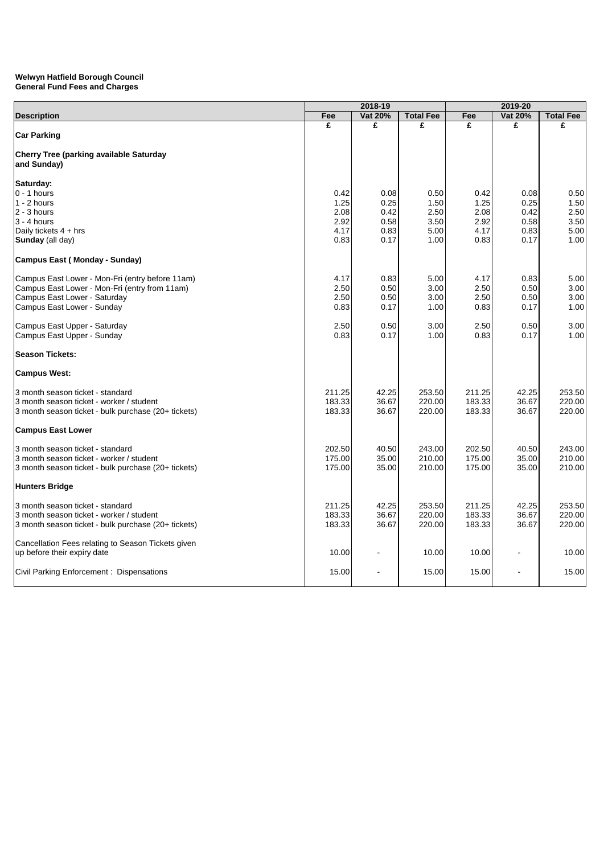|                                                               | 2018-19      |              |                  |              |                |                  |
|---------------------------------------------------------------|--------------|--------------|------------------|--------------|----------------|------------------|
| <b>Description</b>                                            | Fee          | Vat 20%      | <b>Total Fee</b> | Fee          | Vat 20%        | <b>Total Fee</b> |
| <b>Car Parking</b>                                            | £            | £            | £                | £            | £              | £                |
| <b>Cherry Tree (parking available Saturday</b><br>and Sunday) |              |              |                  |              |                |                  |
| Saturday:                                                     |              |              |                  |              |                |                  |
| $0 - 1$ hours<br>$1 - 2$ hours                                | 0.42<br>1.25 | 0.08<br>0.25 | 0.50<br>1.50     | 0.42<br>1.25 | 0.08<br>0.25   | 0.50<br>1.50     |
| $2 - 3$ hours                                                 | 2.08         | 0.42         | 2.50             | 2.08         | 0.42           | 2.50             |
| $3 - 4$ hours                                                 | 2.92         | 0.58         | 3.50             | 2.92         | 0.58           | 3.50             |
| Daily tickets $4 + hrs$                                       | 4.17         | 0.83         | 5.00             | 4.17         | 0.83           | 5.00             |
| Sunday (all day)                                              | 0.83         | 0.17         | 1.00             | 0.83         | 0.17           | 1.00             |
| Campus East (Monday - Sunday)                                 |              |              |                  |              |                |                  |
| Campus East Lower - Mon-Fri (entry before 11am)               | 4.17         | 0.83         | 5.00             | 4.17         | 0.83           | 5.00             |
| Campus East Lower - Mon-Fri (entry from 11am)                 | 2.50         | 0.50         | 3.00             | 2.50         | 0.50           | 3.00             |
| Campus East Lower - Saturday                                  | 2.50         | 0.50         | 3.00             | 2.50         | 0.50           | 3.00             |
| Campus East Lower - Sunday                                    | 0.83         | 0.17         | 1.00             | 0.83         | 0.17           | 1.00             |
| Campus East Upper - Saturday                                  | 2.50         | 0.50         | 3.00             | 2.50         | 0.50           | 3.00             |
| Campus East Upper - Sunday                                    | 0.83         | 0.17         | 1.00             | 0.83         | 0.17           | 1.00             |
| <b>Season Tickets:</b>                                        |              |              |                  |              |                |                  |
| <b>Campus West:</b>                                           |              |              |                  |              |                |                  |
| 3 month season ticket - standard                              | 211.25       | 42.25        | 253.50           | 211.25       | 42.25          | 253.50           |
| 3 month season ticket - worker / student                      | 183.33       | 36.67        | 220.00           | 183.33       | 36.67          | 220.00           |
| 3 month season ticket - bulk purchase (20+ tickets)           | 183.33       | 36.67        | 220.00           | 183.33       | 36.67          | 220.00           |
| <b>Campus East Lower</b>                                      |              |              |                  |              |                |                  |
| 3 month season ticket - standard                              | 202.50       | 40.50        | 243.00           | 202.50       | 40.50          | 243.00           |
| 3 month season ticket - worker / student                      | 175.00       | 35.00        | 210.00           | 175.00       | 35.00          | 210.00           |
| 3 month season ticket - bulk purchase (20+ tickets)           | 175.00       | 35.00        | 210.00           | 175.00       | 35.00          | 210.00           |
| <b>Hunters Bridge</b>                                         |              |              |                  |              |                |                  |
| 3 month season ticket - standard                              | 211.25       | 42.25        | 253.50           | 211.25       | 42.25          | 253.50           |
| 3 month season ticket - worker / student                      | 183.33       | 36.67        | 220.00           | 183.33       | 36.67          | 220.00           |
| 3 month season ticket - bulk purchase (20+ tickets)           | 183.33       | 36.67        | 220.00           | 183.33       | 36.67          | 220.00           |
| Cancellation Fees relating to Season Tickets given            |              |              |                  |              |                |                  |
| up before their expiry date                                   | 10.00        |              | 10.00            | 10.00        |                | 10.00            |
| Civil Parking Enforcement: Dispensations                      | 15.00        |              | 15.00            | 15.00        | $\blacksquare$ | 15.00            |
|                                                               |              |              |                  |              |                |                  |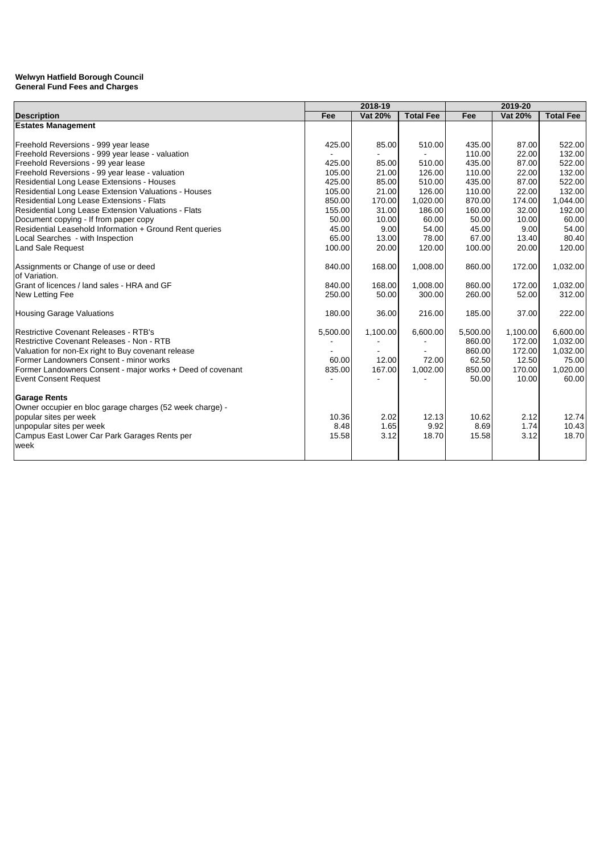|                                                            | 2018-19  |          |                  | 2019-20  |          |                  |
|------------------------------------------------------------|----------|----------|------------------|----------|----------|------------------|
| <b>Description</b>                                         | Fee      | Vat 20%  | <b>Total Fee</b> | Fee      | Vat 20%  | <b>Total Fee</b> |
| <b>Estates Management</b>                                  |          |          |                  |          |          |                  |
|                                                            |          |          |                  |          |          |                  |
| Freehold Reversions - 999 year lease                       | 425.00   | 85.00    | 510.00           | 435.00   | 87.00    | 522.00           |
| Freehold Reversions - 999 year lease - valuation           |          |          |                  | 110.00   | 22.00    | 132.00           |
| Freehold Reversions - 99 year lease                        | 425.00   | 85.00    | 510.00           | 435.00   | 87.00    | 522.00           |
| Freehold Reversions - 99 year lease - valuation            | 105.00   | 21.00    | 126.00           | 110.00   | 22.00    | 132.00           |
| Residential Long Lease Extensions - Houses                 | 425.00   | 85.00    | 510.00           | 435.00   | 87.00    | 522.00           |
| Residential Long Lease Extension Valuations - Houses       | 105.00   | 21.00    | 126.00           | 110.00   | 22.00    | 132.00           |
| Residential Long Lease Extensions - Flats                  | 850.00   | 170.00   | 1,020.00         | 870.00   | 174.00   | 1,044.00         |
| Residential Long Lease Extension Valuations - Flats        | 155.00   | 31.00    | 186.00           | 160.00   | 32.00    | 192.00           |
| Document copying - If from paper copy                      | 50.00    | 10.00    | 60.00            | 50.00    | 10.00    | 60.00            |
| Residential Leasehold Information + Ground Rent queries    | 45.00    | 9.00     | 54.00            | 45.00    | 9.00     | 54.00            |
| Local Searches - with Inspection                           | 65.00    | 13.00    | 78.00            | 67.00    | 13.40    | 80.40            |
| <b>Land Sale Request</b>                                   | 100.00   | 20.00    | 120.00           | 100.00   | 20.00    | 120.00           |
| Assignments or Change of use or deed                       | 840.00   | 168.00   | 1,008.00         | 860.00   | 172.00   | 1,032.00         |
| of Variation.                                              |          |          |                  |          |          |                  |
| Grant of licences / land sales - HRA and GF                | 840.00   | 168.00   | 1,008.00         | 860.00   | 172.00   | 1,032.00         |
| New Letting Fee                                            | 250.00   | 50.00    | 300.00           | 260.00   | 52.00    | 312.00           |
| <b>Housing Garage Valuations</b>                           | 180.00   | 36.00    | 216.00           | 185.00   | 37.00    | 222.00           |
| <b>Restrictive Covenant Releases - RTB's</b>               | 5,500.00 | 1,100.00 | 6,600.00         | 5,500.00 | 1,100.00 | 6,600.00         |
| Restrictive Covenant Releases - Non - RTB                  |          |          |                  | 860.00   | 172.00   | 1,032.00         |
| Valuation for non-Ex right to Buy covenant release         |          |          |                  | 860.00   | 172.00   | 1,032.00         |
| Former Landowners Consent - minor works                    | 60.00    | 12.00    | 72.00            | 62.50    | 12.50    | 75.00            |
| Former Landowners Consent - major works + Deed of covenant | 835.00   | 167.00   | 1,002.00         | 850.00   | 170.00   | 1,020.00         |
| <b>Event Consent Request</b>                               |          |          |                  | 50.00    | 10.00    | 60.00            |
| <b>Garage Rents</b>                                        |          |          |                  |          |          |                  |
| Owner occupier en bloc garage charges (52 week charge) -   |          |          |                  |          |          |                  |
| popular sites per week                                     | 10.36    | 2.02     | 12.13            | 10.62    | 2.12     | 12.74            |
| unpopular sites per week                                   | 8.48     | 1.65     | 9.92             | 8.69     | 1.74     | 10.43            |
| Campus East Lower Car Park Garages Rents per               | 15.58    | 3.12     | 18.70            | 15.58    | 3.12     | 18.70            |
| week                                                       |          |          |                  |          |          |                  |
|                                                            |          |          |                  |          |          |                  |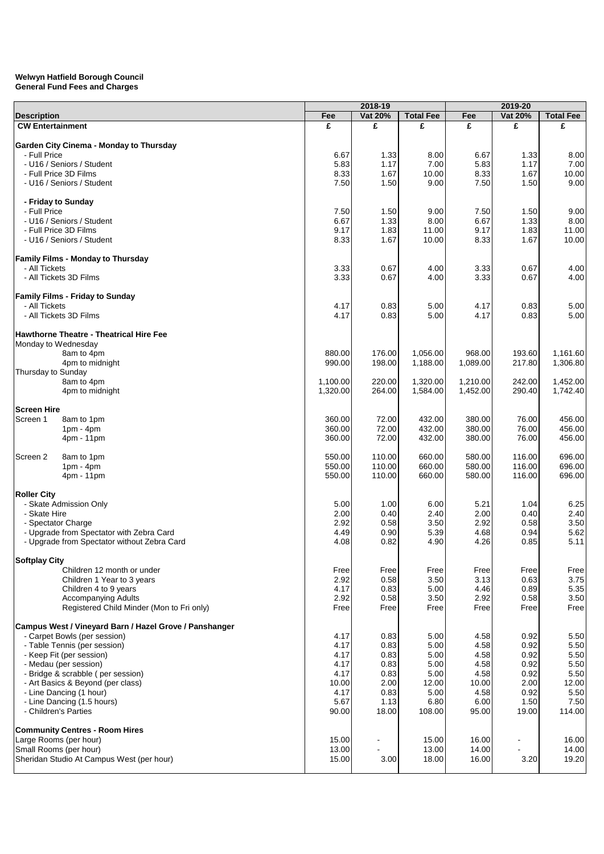|                                                                         | 2018-19      |                |                  |              | 2019-20                  |                  |
|-------------------------------------------------------------------------|--------------|----------------|------------------|--------------|--------------------------|------------------|
| <b>Description</b>                                                      | Fee          | Vat 20%        | <b>Total Fee</b> | Fee          | Vat 20%                  | <b>Total Fee</b> |
| <b>CW Entertainment</b>                                                 | £            | £              | £                | £            | £                        | £                |
|                                                                         |              |                |                  |              |                          |                  |
| Garden City Cinema - Monday to Thursday                                 |              |                |                  |              |                          |                  |
| - Full Price                                                            | 6.67         | 1.33           | 8.00             | 6.67         | 1.33                     | 8.00             |
| - U16 / Seniors / Student                                               | 5.83         | 1.17           | 7.00             | 5.83         | 1.17                     | 7.00             |
| - Full Price 3D Films                                                   | 8.33         | 1.67           | 10.00            | 8.33         | 1.67                     | 10.00            |
| - U16 / Seniors / Student                                               | 7.50         | 1.50           | 9.00             | 7.50         | 1.50                     | 9.00             |
| - Friday to Sunday                                                      |              |                |                  |              |                          |                  |
| - Full Price                                                            | 7.50         | 1.50           | 9.00             | 7.50         | 1.50                     | 9.00             |
| - U16 / Seniors / Student                                               | 6.67         | 1.33           | 8.00             | 6.67         | 1.33                     | 8.00             |
| - Full Price 3D Films                                                   | 9.17         | 1.83           | 11.00            | 9.17         | 1.83                     | 11.00            |
| - U16 / Seniors / Student                                               | 8.33         | 1.67           | 10.00            | 8.33         | 1.67                     | 10.00            |
|                                                                         |              |                |                  |              |                          |                  |
| Family Films - Monday to Thursday                                       |              |                |                  |              |                          |                  |
| - All Tickets                                                           | 3.33         | 0.67           | 4.00             | 3.33         | 0.67                     | 4.00             |
| - All Tickets 3D Films                                                  | 3.33         | 0.67           | 4.00             | 3.33         | 0.67                     | 4.00             |
|                                                                         |              |                |                  |              |                          |                  |
| <b>Family Films - Friday to Sunday</b>                                  |              |                |                  |              |                          |                  |
| - All Tickets                                                           | 4.17         | 0.83           | 5.00             | 4.17         | 0.83                     | 5.00             |
| - All Tickets 3D Films                                                  | 4.17         | 0.83           | 5.00             | 4.17         | 0.83                     | 5.00             |
|                                                                         |              |                |                  |              |                          |                  |
| <b>Hawthorne Theatre - Theatrical Hire Fee</b>                          |              |                |                  |              |                          |                  |
| Monday to Wednesday<br>8am to 4pm                                       | 880.00       | 176.00         | 1,056.00         | 968.00       | 193.60                   | 1,161.60         |
| 4pm to midnight                                                         | 990.00       | 198.00         | 1,188.00         | 1,089.00     | 217.80                   | 1,306.80         |
| Thursday to Sunday                                                      |              |                |                  |              |                          |                  |
| 8am to 4pm                                                              | 1,100.00     | 220.00         | 1,320.00         | 1,210.00     | 242.00                   | 1,452.00         |
| 4pm to midnight                                                         | 1,320.00     | 264.00         | 1,584.00         | 1,452.00     | 290.40                   | 1,742.40         |
|                                                                         |              |                |                  |              |                          |                  |
| <b>Screen Hire</b>                                                      |              |                |                  |              |                          |                  |
| Screen 1<br>8am to 1pm                                                  | 360.00       | 72.00          | 432.00           | 380.00       | 76.00                    | 456.00           |
| $1pm - 4pm$                                                             | 360.00       | 72.00          | 432.00           | 380.00       | 76.00                    | 456.00           |
| $4pm - 11pm$                                                            | 360.00       | 72.00          | 432.00           | 380.00       | 76.00                    | 456.00           |
|                                                                         |              |                |                  |              |                          |                  |
| Screen 2<br>8am to 1pm                                                  | 550.00       | 110.00         | 660.00           | 580.00       | 116.00                   | 696.00           |
| $1pm - 4pm$                                                             | 550.00       | 110.00         | 660.00           | 580.00       | 116.00                   | 696.00           |
| 4pm - 11pm                                                              | 550.00       | 110.00         | 660.00           | 580.00       | 116.00                   | 696.00           |
| <b>Roller City</b>                                                      |              |                |                  |              |                          |                  |
| - Skate Admission Only                                                  | 5.00         | 1.00           | 6.00             | 5.21         | 1.04                     | 6.25             |
| - Skate Hire                                                            | 2.00         | 0.40           | 2.40             | 2.00         | 0.40                     | 2.40             |
| - Spectator Charge                                                      | 2.92         | 0.58           | 3.50             | 2.92         | 0.58                     | 3.50             |
| - Upgrade from Spectator with Zebra Card                                | 4.49         | 0.90           | 5.39             | 4.68         | 0.94                     | 5.62             |
| - Upgrade from Spectator without Zebra Card                             | 4.08         | 0.82           | 4.90             | 4.26         | 0.85                     | 5.11             |
|                                                                         |              |                |                  |              |                          |                  |
| Softplay City                                                           |              |                |                  |              |                          |                  |
| Children 12 month or under                                              | Free         | Free           | Free             | Free         | Free                     | Free             |
| Children 1 Year to 3 years                                              | 2.92         | 0.58           | 3.50             | 3.13         | 0.63                     | 3.75             |
| Children 4 to 9 years                                                   | 4.17         | 0.83           | 5.00             | 4.46         | 0.89                     | 5.35             |
| <b>Accompanying Adults</b><br>Registered Child Minder (Mon to Fri only) | 2.92<br>Free | 0.58<br>Free   | 3.50<br>Free     | 2.92<br>Free | 0.58<br>Free             | 3.50<br>Free     |
|                                                                         |              |                |                  |              |                          |                  |
| Campus West / Vineyard Barn / Hazel Grove / Panshanger                  |              |                |                  |              |                          |                  |
| - Carpet Bowls (per session)                                            | 4.17         | 0.83           | 5.00             | 4.58         | 0.92                     | 5.50             |
| - Table Tennis (per session)                                            | 4.17         | 0.83           | 5.00             | 4.58         | 0.92                     | 5.50             |
| - Keep Fit (per session)                                                | 4.17         | 0.83           | 5.00             | 4.58         | 0.92                     | 5.50             |
| - Medau (per session)                                                   | 4.17         | 0.83           | 5.00             | 4.58         | 0.92                     | 5.50             |
| - Bridge & scrabble (per session)                                       | 4.17         | 0.83           | 5.00             | 4.58         | 0.92                     | 5.50             |
| - Art Basics & Beyond (per class)                                       | 10.00        | 2.00           | 12.00            | 10.00        | 2.00                     | 12.00            |
| - Line Dancing (1 hour)                                                 | 4.17         | 0.83           | 5.00             | 4.58         | 0.92                     | 5.50             |
| - Line Dancing (1.5 hours)                                              | 5.67         | 1.13           | 6.80             | 6.00         | 1.50                     | 7.50             |
| - Children's Parties                                                    | 90.00        | 18.00          | 108.00           | 95.00        | 19.00                    | 114.00           |
|                                                                         |              |                |                  |              |                          |                  |
| <b>Community Centres - Room Hires</b>                                   |              |                |                  |              |                          |                  |
| Large Rooms (per hour)                                                  | 15.00        | $\overline{a}$ | 15.00            | 16.00        | $\overline{\phantom{a}}$ | 16.00            |
| Small Rooms (per hour)                                                  | 13.00        | L,             | 13.00            | 14.00        | $\overline{\phantom{a}}$ | 14.00            |
| Sheridan Studio At Campus West (per hour)                               | 15.00        | 3.00           | 18.00            | 16.00        | 3.20                     | 19.20            |
|                                                                         |              |                |                  |              |                          |                  |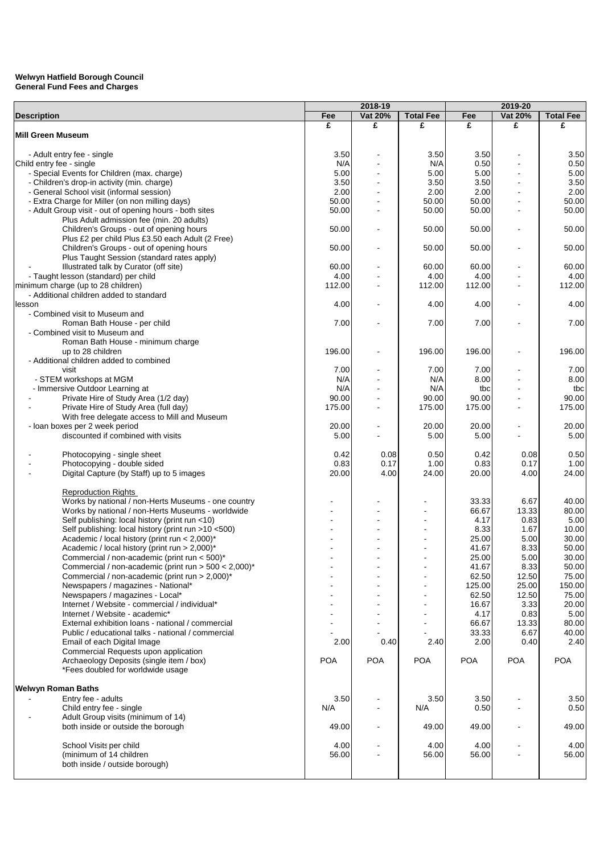|                                                         |            | 2018-19    |                  |            | 2019-20        |                  |
|---------------------------------------------------------|------------|------------|------------------|------------|----------------|------------------|
| <b>Description</b>                                      | Fee        | Vat 20%    | <b>Total Fee</b> | Fee        | Vat 20%        | <b>Total Fee</b> |
|                                                         | £          | £          | £                | £          | £              | £                |
| <b>Mill Green Museum</b>                                |            |            |                  |            |                |                  |
|                                                         |            |            |                  |            |                |                  |
| - Adult entry fee - single                              | 3.50       |            | 3.50             | 3.50       |                | 3.50             |
| Child entry fee - single                                | N/A        |            | N/A              | 0.50       |                | 0.50             |
| - Special Events for Children (max. charge)             | 5.00       |            | 5.00             | 5.00       |                | 5.00             |
| - Children's drop-in activity (min. charge)             | 3.50       |            | 3.50             | 3.50       |                | 3.50             |
| - General School visit (informal session)               | 2.00       |            | 2.00             | 2.00       |                | 2.00             |
|                                                         |            |            |                  |            |                |                  |
| - Extra Charge for Miller (on non milling days)         | 50.00      |            | 50.00            | 50.00      |                | 50.00            |
| - Adult Group visit - out of opening hours - both sites | 50.00      |            | 50.00            | 50.00      |                | 50.00            |
| Plus Adult admission fee (min. 20 adults)               |            |            |                  |            |                |                  |
| Children's Groups - out of opening hours                | 50.00      |            | 50.00            | 50.00      |                | 50.00            |
| Plus £2 per child Plus £3.50 each Adult (2 Free)        |            |            |                  |            |                |                  |
| Children's Groups - out of opening hours                | 50.00      |            | 50.00            | 50.00      |                | 50.00            |
| Plus Taught Session (standard rates apply)              |            |            |                  |            |                |                  |
| Illustrated talk by Curator (off site)                  | 60.00      |            | 60.00            | 60.00      |                | 60.00            |
| - Taught lesson (standard) per child                    | 4.00       |            | 4.00             | 4.00       |                | 4.00             |
| minimum charge (up to 28 children)                      | 112.00     |            | 112.00           | 112.00     |                | 112.00           |
| - Additional children added to standard                 |            |            |                  |            |                |                  |
| lesson                                                  | 4.00       |            | 4.00             | 4.00       |                | 4.00             |
| - Combined visit to Museum and                          |            |            |                  |            |                |                  |
| Roman Bath House - per child                            | 7.00       |            | 7.00             | 7.00       |                | 7.00             |
| - Combined visit to Museum and                          |            |            |                  |            |                |                  |
| Roman Bath House - minimum charge                       |            |            |                  |            |                |                  |
| up to 28 children                                       | 196.00     |            | 196.00           | 196.00     |                | 196.00           |
| - Additional children added to combined                 |            |            |                  |            |                |                  |
| visit                                                   | 7.00       |            | 7.00             | 7.00       |                | 7.00             |
| - STEM workshops at MGM                                 | N/A        |            | N/A              | 8.00       |                | 8.00             |
| - Immersive Outdoor Learning at                         | N/A        |            | N/A              | tbc        |                | tbc              |
| Private Hire of Study Area (1/2 day)                    | 90.00      |            | 90.00            | 90.00      |                | 90.00            |
|                                                         |            |            |                  |            |                |                  |
| Private Hire of Study Area (full day)                   | 175.00     |            | 175.00           | 175.00     |                | 175.00           |
| With free delegate access to Mill and Museum            |            |            |                  |            |                |                  |
| - loan boxes per 2 week period                          | 20.00      |            | 20.00            | 20.00      |                | 20.00            |
| discounted if combined with visits                      | 5.00       |            | 5.00             | 5.00       |                | 5.00             |
|                                                         |            |            |                  |            |                |                  |
| Photocopying - single sheet                             | 0.42       | 0.08       | 0.50             | 0.42       | 0.08           | 0.50             |
| Photocopying - double sided                             | 0.83       | 0.17       | 1.00             | 0.83       | 0.17           | 1.00             |
| Digital Capture (by Staff) up to 5 images               | 20.00      | 4.00       | 24.00            | 20.00      | 4.00           | 24.00            |
|                                                         |            |            |                  |            |                |                  |
| <b>Reproduction Rights</b>                              |            |            |                  |            |                |                  |
| Works by national / non-Herts Museums - one country     |            |            |                  | 33.33      | 6.67           | 40.00            |
| Works by national / non-Herts Museums - worldwide       |            |            |                  | 66.67      | 13.33          | 80.00            |
| Self publishing: local history (print run <10)          |            |            |                  | 4.17       | 0.83           | 5.00             |
| Self publishing: local history (print run >10 <500)     |            |            |                  | 8.33       | 1.67           | 10.00            |
| Academic / local history (print run < 2,000)*           |            |            |                  | 25.00      | 5.00           | 30.00            |
| Academic / local history (print run > 2,000)*           |            |            |                  | 41.67      | 8.33           | 50.00            |
| Commercial / non-academic (print run < 500)*            |            |            |                  | 25.00      | 5.00           | 30.00            |
| Commercial / non-academic (print run $>$ 500 < 2,000)*  |            |            |                  | 41.67      | 8.33           | 50.00            |
| Commercial / non-academic (print run > 2,000)*          |            |            |                  | 62.50      | 12.50          | 75.00            |
| Newspapers / magazines - National*                      |            |            |                  | 125.00     | 25.00          | 150.00           |
| Newspapers / magazines - Local*                         |            |            |                  | 62.50      | 12.50          | 75.00            |
| Internet / Website - commercial / individual*           |            |            |                  | 16.67      | 3.33           | 20.00            |
| Internet / Website - academic*                          |            |            |                  | 4.17       | 0.83           | 5.00             |
| External exhibition loans - national / commercial       |            |            |                  |            |                |                  |
|                                                         |            |            |                  | 66.67      | 13.33          | 80.00            |
| Public / educational talks - national / commercial      |            |            |                  | 33.33      | 6.67           | 40.00            |
| Email of each Digital Image                             | 2.00       | 0.40       | 2.40             | 2.00       | 0.40           | 2.40             |
| Commercial Requests upon application                    |            |            |                  |            |                |                  |
| Archaeology Deposits (single item / box)                | <b>POA</b> | <b>POA</b> | <b>POA</b>       | <b>POA</b> | <b>POA</b>     | <b>POA</b>       |
| *Fees doubled for worldwide usage                       |            |            |                  |            |                |                  |
|                                                         |            |            |                  |            |                |                  |
| Welwyn Roman Baths                                      |            |            |                  |            |                |                  |
| Entry fee - adults                                      | 3.50       |            | 3.50             | 3.50       |                | 3.50             |
| Child entry fee - single                                | N/A        |            | N/A              | 0.50       |                | 0.50             |
| Adult Group visits (minimum of 14)                      |            |            |                  |            |                |                  |
| both inside or outside the borough                      | 49.00      |            | 49.00            | 49.00      |                | 49.00            |
|                                                         |            |            |                  |            |                |                  |
| School Visits per child                                 | 4.00       |            | 4.00             | 4.00       |                | 4.00             |
| (minimum of 14 children                                 | 56.00      |            | 56.00            | 56.00      | $\blacksquare$ | 56.00            |
| both inside / outside borough)                          |            |            |                  |            |                |                  |
|                                                         |            |            |                  |            |                |                  |
|                                                         |            |            |                  |            |                |                  |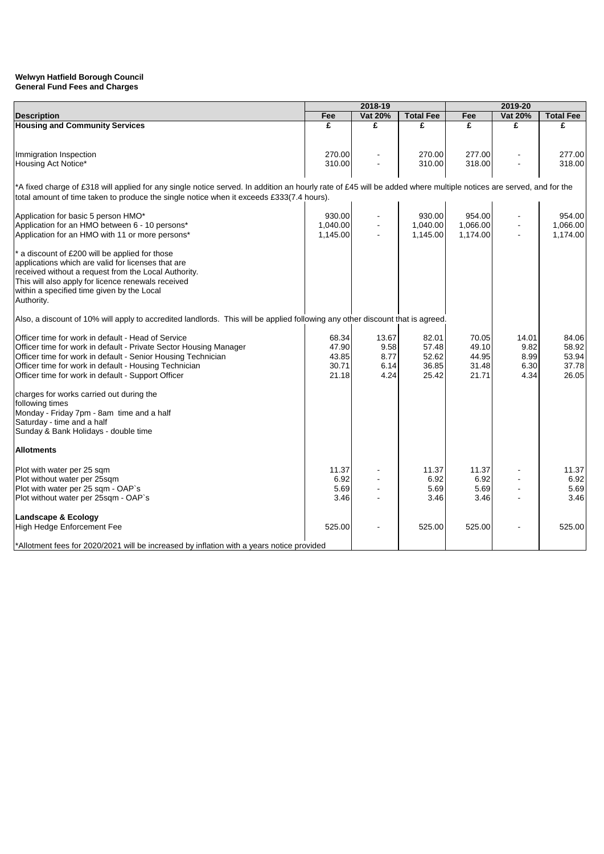#### **General Fund Fees and Charges Welwyn Hatfield Borough Council**

|                                                                                                                                                                   | 2018-19  |                |                  |          | 2019-20 |                  |  |
|-------------------------------------------------------------------------------------------------------------------------------------------------------------------|----------|----------------|------------------|----------|---------|------------------|--|
| <b>Description</b>                                                                                                                                                | Fee      | Vat 20%        | <b>Total Fee</b> | Fee      | Vat 20% | <b>Total Fee</b> |  |
| <b>Housing and Community Services</b>                                                                                                                             | £        | £              | £                | £        | £       | £                |  |
|                                                                                                                                                                   |          |                |                  |          |         |                  |  |
| Immigration Inspection                                                                                                                                            | 270.00   |                | 270.00           | 277.00   |         | 277.00           |  |
| Housing Act Notice*                                                                                                                                               | 310.00   |                | 310.00           | 318.00   |         | 318.00           |  |
|                                                                                                                                                                   |          |                |                  |          |         |                  |  |
| *A fixed charge of £318 will applied for any single notice served. In addition an hourly rate of £45 will be added where multiple notices are served, and for the |          |                |                  |          |         |                  |  |
| total amount of time taken to produce the single notice when it exceeds £333(7.4 hours).                                                                          |          |                |                  |          |         |                  |  |
| Application for basic 5 person HMO*                                                                                                                               | 930.00   |                | 930.00           | 954.00   |         | 954.00           |  |
| Application for an HMO between 6 - 10 persons*                                                                                                                    | 1.040.00 |                | 1.040.00         | 1,066.00 |         | 1,066.00         |  |
| Application for an HMO with 11 or more persons*                                                                                                                   | 1,145.00 | $\overline{a}$ | 1,145.00         | 1,174.00 |         | 1,174.00         |  |
|                                                                                                                                                                   |          |                |                  |          |         |                  |  |
| a discount of £200 will be applied for those                                                                                                                      |          |                |                  |          |         |                  |  |
| applications which are valid for licenses that are                                                                                                                |          |                |                  |          |         |                  |  |
| received without a request from the Local Authority.                                                                                                              |          |                |                  |          |         |                  |  |
| This will also apply for licence renewals received                                                                                                                |          |                |                  |          |         |                  |  |
| within a specified time given by the Local                                                                                                                        |          |                |                  |          |         |                  |  |
| Authority.                                                                                                                                                        |          |                |                  |          |         |                  |  |
| Also, a discount of 10% will apply to accredited landlords. This will be applied following any other discount that is agreed.                                     |          |                |                  |          |         |                  |  |
| Officer time for work in default - Head of Service                                                                                                                | 68.34    | 13.67          | 82.01            | 70.05    | 14.01   | 84.06            |  |
| Officer time for work in default - Private Sector Housing Manager                                                                                                 | 47.90    | 9.58           | 57.48            | 49.10    | 9.82    | 58.92            |  |
| Officer time for work in default - Senior Housing Technician                                                                                                      | 43.85    | 8.77           | 52.62            | 44.95    | 8.99    | 53.94            |  |
| Officer time for work in default - Housing Technician                                                                                                             | 30.71    | 6.14           | 36.85            | 31.48    | 6.30    | 37.78            |  |
| Officer time for work in default - Support Officer                                                                                                                | 21.18    | 4.24           | 25.42            | 21.71    | 4.34    | 26.05            |  |
|                                                                                                                                                                   |          |                |                  |          |         |                  |  |
| charges for works carried out during the                                                                                                                          |          |                |                  |          |         |                  |  |
| following times                                                                                                                                                   |          |                |                  |          |         |                  |  |
| Monday - Friday 7pm - 8am time and a half                                                                                                                         |          |                |                  |          |         |                  |  |
| Saturday - time and a half                                                                                                                                        |          |                |                  |          |         |                  |  |
| Sunday & Bank Holidays - double time                                                                                                                              |          |                |                  |          |         |                  |  |
| <b>Allotments</b>                                                                                                                                                 |          |                |                  |          |         |                  |  |
| Plot with water per 25 sqm                                                                                                                                        | 11.37    |                | 11.37            | 11.37    |         | 11.37            |  |
| Plot without water per 25sqm                                                                                                                                      | 6.92     |                | 6.92             | 6.92     |         | 6.92             |  |
| Plot with water per 25 sqm - OAP`s                                                                                                                                | 5.69     |                | 5.69             | 5.69     |         | 5.69             |  |
| Plot without water per 25sqm - OAP`s                                                                                                                              | 3.46     |                | 3.46             | 3.46     |         | 3.46             |  |
| <b>Landscape &amp; Ecology</b>                                                                                                                                    |          |                |                  |          |         |                  |  |
|                                                                                                                                                                   |          |                |                  |          |         |                  |  |
| High Hedge Enforcement Fee                                                                                                                                        | 525.00   |                | 525.00           | 525.00   |         | 525.00           |  |
| *Allotment fees for 2020/2021 will be increased by inflation with a years notice provided                                                                         |          |                |                  |          |         |                  |  |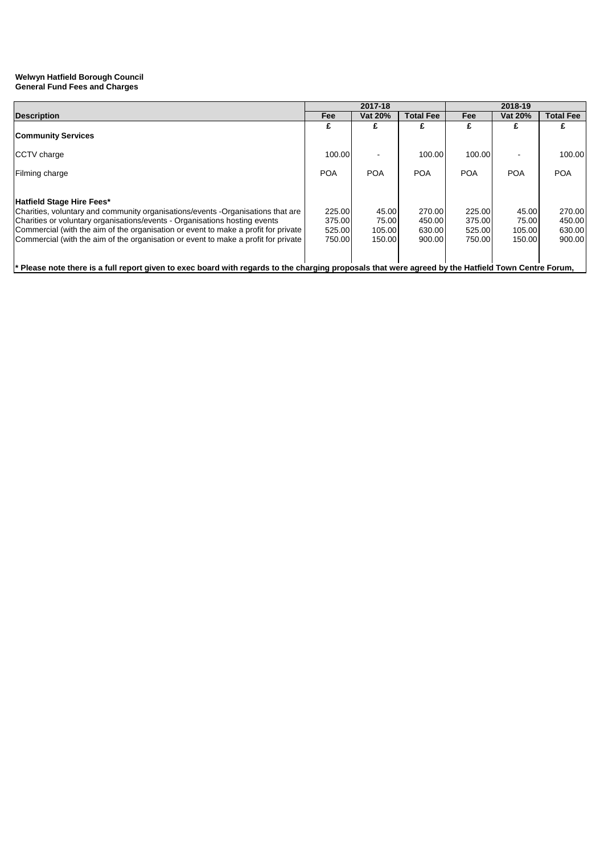|                                                                                                                                                                                                                                                                                                                                                                        | 2017-18                              |                                    |                                      | 2018-19                              |                                    |                                      |  |
|------------------------------------------------------------------------------------------------------------------------------------------------------------------------------------------------------------------------------------------------------------------------------------------------------------------------------------------------------------------------|--------------------------------------|------------------------------------|--------------------------------------|--------------------------------------|------------------------------------|--------------------------------------|--|
| <b>Description</b>                                                                                                                                                                                                                                                                                                                                                     | Fee                                  | Vat 20%                            | <b>Total Fee</b>                     | Fee                                  | Vat 20%                            | <b>Total Fee</b>                     |  |
| <b>Community Services</b>                                                                                                                                                                                                                                                                                                                                              |                                      |                                    |                                      |                                      |                                    |                                      |  |
| CCTV charge                                                                                                                                                                                                                                                                                                                                                            | 100.00                               |                                    | 100.00                               | 100.00                               |                                    | 100.00                               |  |
| Filming charge                                                                                                                                                                                                                                                                                                                                                         | <b>POA</b>                           | <b>POA</b>                         | <b>POA</b>                           | <b>POA</b>                           | <b>POA</b>                         | <b>POA</b>                           |  |
| Hatfield Stage Hire Fees*<br>Charities, voluntary and community organisations/events -Organisations that are<br>Charities or voluntary organisations/events - Organisations hosting events<br>Commercial (with the aim of the organisation or event to make a profit for private<br>Commercial (with the aim of the organisation or event to make a profit for private | 225.00<br>375.00<br>525.00<br>750.00 | 45.00<br>75.00<br>105.00<br>150.00 | 270.00<br>450.00<br>630.00<br>900.00 | 225.00<br>375.00<br>525.00<br>750.00 | 45.00<br>75.00<br>105.00<br>150.00 | 270.00<br>450.00<br>630.00<br>900.00 |  |
| * Please note there is a full report given to exec board with regards to the charging proposals that were agreed by the Hatfield Town Centre Forum,                                                                                                                                                                                                                    |                                      |                                    |                                      |                                      |                                    |                                      |  |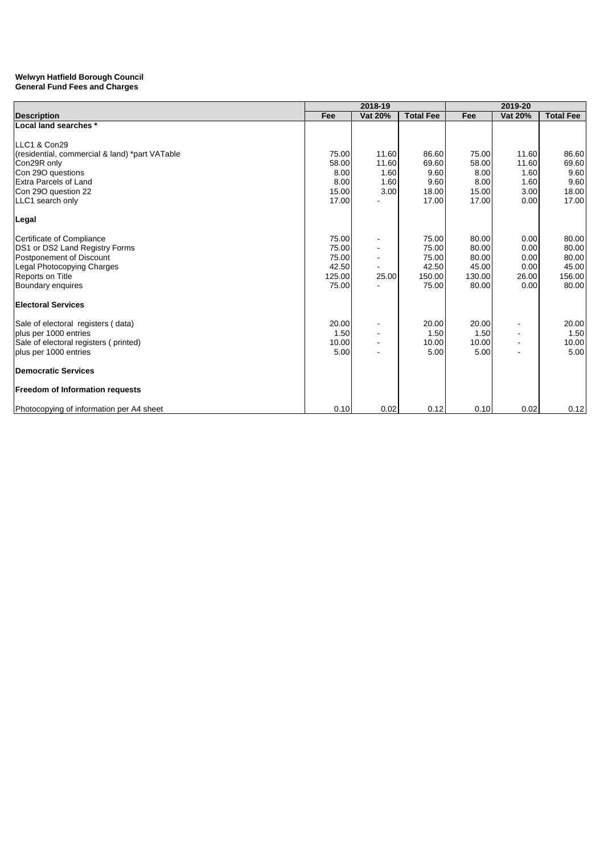|                                                | 2018-19 |         |                  | 2019-20 |                |                  |  |
|------------------------------------------------|---------|---------|------------------|---------|----------------|------------------|--|
| <b>Description</b>                             | Fee     | Vat 20% | <b>Total Fee</b> | Fee     | <b>Vat 20%</b> | <b>Total Fee</b> |  |
| Local land searches *                          |         |         |                  |         |                |                  |  |
|                                                |         |         |                  |         |                |                  |  |
| LLC1 & Con29                                   |         |         |                  |         |                |                  |  |
| (residential, commercial & land) *part VATable | 75.00   | 11.60   | 86.60            | 75.00   | 11.60          | 86.60            |  |
| Con29R only                                    | 58.00   | 11.60   | 69.60            | 58.00   | 11.60          | 69.60            |  |
| Con 29O questions                              | 8.00    | 1.60    | 9.60             | 8.00    | 1.60           | 9.60             |  |
| <b>Extra Parcels of Land</b>                   | 8.00    | 1.60    | 9.60             | 8.00    | 1.60           | 9.60             |  |
| Con 29O question 22                            | 15.00   | 3.00    | 18.00            | 15.00   | 3.00           | 18.00            |  |
| LLC1 search only                               | 17.00   |         | 17.00            | 17.00   | 0.00           | 17.00            |  |
| Legal                                          |         |         |                  |         |                |                  |  |
| Certificate of Compliance                      | 75.00   |         | 75.00            | 80.00   | 0.00           | 80.00            |  |
| DS1 or DS2 Land Registry Forms                 | 75.00   |         | 75.00            | 80.00   | 0.00           | 80.00            |  |
| Postponement of Discount                       | 75.00   |         | 75.00            | 80.00   | 0.00           | 80.00            |  |
| Legal Photocopying Charges                     | 42.50   |         | 42.50            | 45.00   | 0.00           | 45.00            |  |
| Reports on Title                               | 125.00  | 25.00   | 150.00           | 130.00  | 26.00          | 156.00           |  |
| Boundary enquires                              | 75.00   |         | 75.00            | 80.00   | 0.00           | 80.00            |  |
| <b>Electoral Services</b>                      |         |         |                  |         |                |                  |  |
| Sale of electoral registers (data)             | 20.00   |         | 20.00            | 20.00   |                | 20.00            |  |
| plus per 1000 entries                          | 1.50    |         | 1.50             | 1.50    |                | 1.50             |  |
| Sale of electoral registers (printed)          | 10.00   |         | 10.00            | 10.00   |                | 10.00            |  |
| plus per 1000 entries                          | 5.00    |         | 5.00             | 5.00    |                | 5.00             |  |
| <b>Democratic Services</b>                     |         |         |                  |         |                |                  |  |
| <b>Freedom of Information requests</b>         |         |         |                  |         |                |                  |  |
| Photocopying of information per A4 sheet       | 0.10    | 0.02    | 0.12             | 0.10    | 0.02           | 0.12             |  |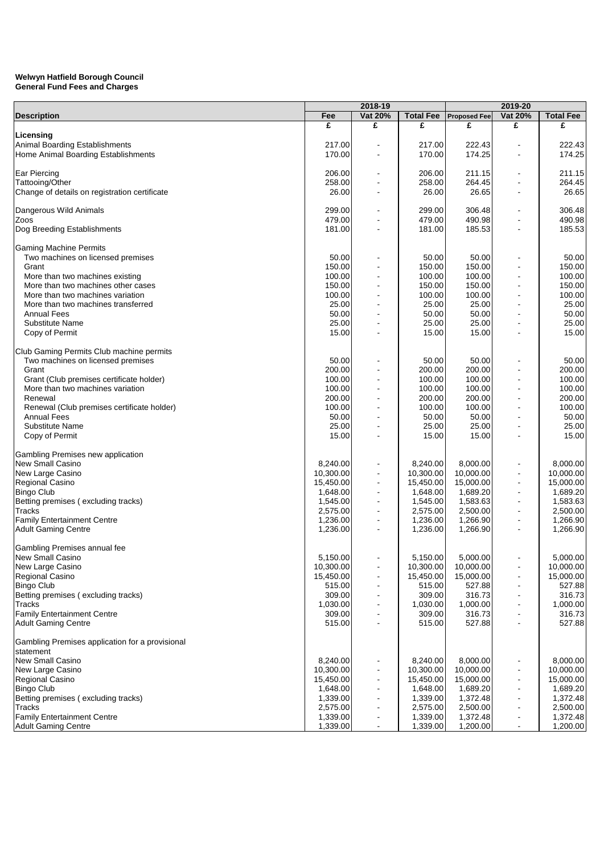|                                                 |           | 2018-19                      |                  |                     | 2019-20                      |                  |  |
|-------------------------------------------------|-----------|------------------------------|------------------|---------------------|------------------------------|------------------|--|
| <b>Description</b>                              | Fee       | Vat 20%                      | <b>Total Fee</b> | <b>Proposed Fee</b> | Vat 20%                      | <b>Total Fee</b> |  |
|                                                 | £         | £                            | £                | £                   | £                            | £                |  |
| Licensing                                       |           |                              |                  |                     |                              |                  |  |
| Animal Boarding Establishments                  | 217.00    |                              | 217.00           | 222.43              |                              | 222.43           |  |
| Home Animal Boarding Establishments             | 170.00    |                              | 170.00           | 174.25              |                              | 174.25           |  |
|                                                 |           |                              |                  |                     |                              |                  |  |
| <b>Ear Piercing</b>                             | 206.00    | $\blacksquare$               | 206.00           | 211.15              |                              | 211.15           |  |
| Tattooing/Other                                 | 258.00    | $\blacksquare$               | 258.00           | 264.45              | $\blacksquare$               | 264.45           |  |
| Change of details on registration certificate   | 26.00     |                              | 26.00            | 26.65               |                              | 26.65            |  |
| Dangerous Wild Animals                          | 299.00    |                              | 299.00           | 306.48              |                              | 306.48           |  |
| Zoos                                            | 479.00    |                              | 479.00           | 490.98              |                              | 490.98           |  |
| Dog Breeding Establishments                     | 181.00    |                              | 181.00           | 185.53              |                              | 185.53           |  |
|                                                 |           |                              |                  |                     |                              |                  |  |
| <b>Gaming Machine Permits</b>                   |           |                              |                  |                     |                              |                  |  |
| Two machines on licensed premises               | 50.00     |                              | 50.00            | 50.00               |                              | 50.00            |  |
| Grant                                           | 150.00    |                              | 150.00           | 150.00              |                              | 150.00           |  |
| More than two machines existing                 | 100.00    |                              | 100.00           | 100.00              |                              | 100.00           |  |
| More than two machines other cases              | 150.00    | $\blacksquare$               | 150.00           | 150.00              | $\blacksquare$               | 150.00           |  |
| More than two machines variation                | 100.00    | $\blacksquare$               | 100.00           | 100.00              | $\blacksquare$               | 100.00           |  |
| More than two machines transferred              | 25.00     |                              | 25.00            | 25.00               |                              | 25.00            |  |
| <b>Annual Fees</b>                              | 50.00     |                              | 50.00            | 50.00               |                              | 50.00            |  |
| <b>Substitute Name</b>                          | 25.00     |                              | 25.00            | 25.00               |                              | 25.00            |  |
| Copy of Permit                                  | 15.00     |                              | 15.00            | 15.00               |                              | 15.00            |  |
|                                                 |           |                              |                  |                     |                              |                  |  |
| Club Gaming Permits Club machine permits        |           |                              |                  |                     |                              |                  |  |
| Two machines on licensed premises               | 50.00     |                              | 50.00            | 50.00               |                              | 50.00            |  |
| Grant                                           | 200.00    |                              | 200.00           | 200.00              |                              | 200.00           |  |
| Grant (Club premises certificate holder)        | 100.00    |                              | 100.00           | 100.00              |                              | 100.00           |  |
| More than two machines variation                | 100.00    | $\blacksquare$               | 100.00           | 100.00              | $\overline{\phantom{a}}$     | 100.00           |  |
| Renewal                                         | 200.00    |                              | 200.00           | 200.00              |                              | 200.00           |  |
| Renewal (Club premises certificate holder)      | 100.00    | $\overline{\phantom{a}}$     | 100.00           | 100.00              | $\blacksquare$               | 100.00           |  |
| <b>Annual Fees</b>                              | 50.00     | $\blacksquare$               | 50.00            | 50.00               | $\blacksquare$               | 50.00            |  |
| <b>Substitute Name</b>                          | 25.00     | $\blacksquare$               | 25.00            | 25.00               |                              | 25.00            |  |
| Copy of Permit                                  | 15.00     |                              | 15.00            | 15.00               |                              | 15.00            |  |
| Gambling Premises new application               |           |                              |                  |                     |                              |                  |  |
| <b>New Small Casino</b>                         | 8,240.00  | $\blacksquare$               | 8,240.00         | 8,000.00            |                              | 8,000.00         |  |
| New Large Casino                                | 10,300.00 | $\qquad \qquad \blacksquare$ | 10,300.00        | 10,000.00           | $\overline{\phantom{a}}$     | 10,000.00        |  |
| Regional Casino                                 | 15,450.00 | $\blacksquare$               | 15,450.00        | 15,000.00           |                              | 15,000.00        |  |
| <b>Bingo Club</b>                               | 1,648.00  | $\overline{a}$               | 1,648.00         | 1,689.20            | $\blacksquare$               | 1,689.20         |  |
| Betting premises (excluding tracks)             | 1,545.00  | $\overline{a}$               | 1,545.00         | 1,583.63            |                              | 1,583.63         |  |
| <b>Tracks</b>                                   | 2,575.00  | $\blacksquare$               | 2,575.00         | 2,500.00            | $\blacksquare$               | 2,500.00         |  |
| <b>Family Entertainment Centre</b>              | 1,236.00  | $\blacksquare$               | 1,236.00         | 1,266.90            | $\blacksquare$               | 1,266.90         |  |
| <b>Adult Gaming Centre</b>                      | 1,236.00  | $\blacksquare$               | 1,236.00         | 1,266.90            | $\blacksquare$               | 1.266.90         |  |
|                                                 |           |                              |                  |                     |                              |                  |  |
| Gambling Premises annual fee                    |           |                              |                  |                     |                              |                  |  |
| New Small Casino                                | 5,150.00  |                              | 5,150.00         | 5,000.00            |                              | 5,000.00         |  |
| New Large Casino                                | 10,300.00 |                              | 10,300.00        | 10,000.00           |                              | 10,000.00        |  |
| Regional Casino                                 | 15.450.00 |                              | 15,450.00        | 15,000.00           |                              | 15,000.00        |  |
| <b>Bingo Club</b>                               | 515.00    | $\blacksquare$               | 515.00           | 527.88              |                              | 527.88           |  |
| Betting premises (excluding tracks)             | 309.00    |                              | 309.00           | 316.73              |                              | 316.73           |  |
| Tracks                                          | 1,030.00  |                              | 1,030.00         | 1,000.00            |                              | 1,000.00         |  |
| <b>Family Entertainment Centre</b>              | 309.00    |                              | 309.00           | 316.73              | $\blacksquare$               | 316.73           |  |
| <b>Adult Gaming Centre</b>                      | 515.00    |                              | 515.00           | 527.88              |                              | 527.88           |  |
| Gambling Premises application for a provisional |           |                              |                  |                     |                              |                  |  |
| statement                                       |           |                              |                  |                     |                              |                  |  |
| New Small Casino                                | 8,240.00  |                              | 8,240.00         | 8,000.00            |                              | 8,000.00         |  |
| New Large Casino                                | 10,300.00 |                              | 10,300.00        | 10,000.00           |                              | 10,000.00        |  |
| Regional Casino                                 | 15,450.00 |                              | 15,450.00        | 15,000.00           |                              | 15,000.00        |  |
| <b>Bingo Club</b>                               | 1,648.00  |                              | 1,648.00         | 1,689.20            |                              | 1,689.20         |  |
| Betting premises (excluding tracks)             | 1,339.00  |                              | 1,339.00         | 1,372.48            | $\qquad \qquad \blacksquare$ | 1,372.48         |  |
| Tracks                                          | 2,575.00  |                              | 2,575.00         | 2,500.00            |                              | 2,500.00         |  |
| <b>Family Entertainment Centre</b>              | 1,339.00  |                              | 1,339.00         | 1,372.48            |                              | 1,372.48         |  |
| <b>Adult Gaming Centre</b>                      | 1,339.00  | $\blacksquare$               | 1,339.00         | 1,200.00            | $\overline{\phantom{a}}$     | 1,200.00         |  |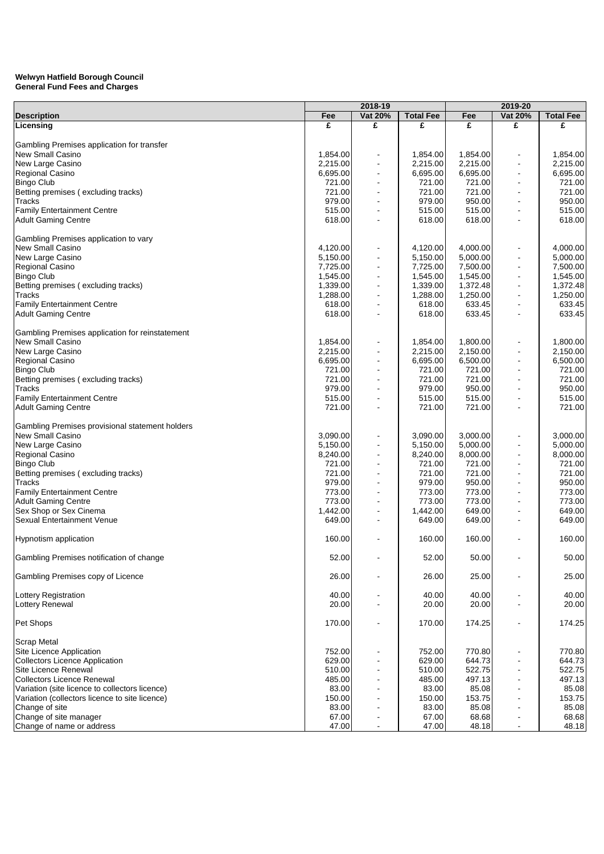|                                                 |          | 2018-19                  |                  |          | 2019-20                  |                  |
|-------------------------------------------------|----------|--------------------------|------------------|----------|--------------------------|------------------|
| <b>Description</b>                              | Fee      | <b>Vat 20%</b>           | <b>Total Fee</b> | Fee      | <b>Vat 20%</b>           | <b>Total Fee</b> |
| Licensing                                       | £        | £                        | £                | £        | £                        | £                |
|                                                 |          |                          |                  |          |                          |                  |
| Gambling Premises application for transfer      |          |                          |                  |          |                          |                  |
| New Small Casino                                | 1,854.00 |                          | 1,854.00         | 1,854.00 |                          | 1,854.00         |
| New Large Casino                                | 2,215.00 | $\overline{\phantom{a}}$ | 2,215.00         | 2,215.00 | $\blacksquare$           | 2,215.00         |
| Regional Casino                                 | 6,695.00 |                          | 6,695.00         | 6,695.00 | $\overline{\phantom{a}}$ | 6,695.00         |
| <b>Bingo Club</b>                               | 721.00   |                          | 721.00           | 721.00   | $\overline{\phantom{a}}$ | 721.00           |
| Betting premises (excluding tracks)             | 721.00   |                          | 721.00           | 721.00   |                          | 721.00           |
| Tracks                                          | 979.00   |                          | 979.00           | 950.00   | $\blacksquare$           | 950.00           |
| <b>Family Entertainment Centre</b>              | 515.00   |                          | 515.00           | 515.00   | $\blacksquare$           | 515.00           |
| <b>Adult Gaming Centre</b>                      | 618.00   |                          | 618.00           | 618.00   | $\blacksquare$           | 618.00           |
|                                                 |          |                          |                  |          |                          |                  |
| Gambling Premises application to vary           |          |                          |                  |          |                          |                  |
| <b>New Small Casino</b>                         | 4,120.00 |                          | 4,120.00         | 4,000.00 |                          | 4,000.00         |
| New Large Casino                                | 5,150.00 |                          | 5,150.00         | 5,000.00 | $\overline{\phantom{a}}$ | 5,000.00         |
| Regional Casino                                 | 7,725.00 | $\overline{\phantom{a}}$ | 7,725.00         | 7,500.00 | $\overline{\phantom{a}}$ | 7,500.00         |
| <b>Bingo Club</b>                               | 1,545.00 |                          | 1,545.00         | 1,545.00 | $\overline{\phantom{a}}$ | 1,545.00         |
|                                                 |          |                          |                  |          |                          |                  |
| Betting premises (excluding tracks)             | 1,339.00 | $\overline{\phantom{a}}$ | 1,339.00         | 1,372.48 | $\blacksquare$           | 1,372.48         |
| Tracks                                          | 1,288.00 |                          | 1,288.00         | 1,250.00 | $\overline{\phantom{a}}$ | 1,250.00         |
| <b>Family Entertainment Centre</b>              | 618.00   |                          | 618.00           | 633.45   | $\overline{\phantom{a}}$ | 633.45           |
| <b>Adult Gaming Centre</b>                      | 618.00   |                          | 618.00           | 633.45   |                          | 633.45           |
|                                                 |          |                          |                  |          |                          |                  |
| Gambling Premises application for reinstatement |          |                          |                  |          |                          |                  |
| New Small Casino                                | 1,854.00 |                          | 1,854.00         | 1,800.00 |                          | 1,800.00         |
| New Large Casino                                | 2,215.00 |                          | 2,215.00         | 2,150.00 |                          | 2,150.00         |
| Regional Casino                                 | 6,695.00 |                          | 6,695.00         | 6,500.00 | $\overline{\phantom{a}}$ | 6,500.00         |
| <b>Bingo Club</b>                               | 721.00   | $\overline{\phantom{a}}$ | 721.00           | 721.00   | $\blacksquare$           | 721.00           |
| Betting premises (excluding tracks)             | 721.00   |                          | 721.00           | 721.00   | $\overline{\phantom{a}}$ | 721.00           |
| <b>Tracks</b>                                   | 979.00   | $\blacksquare$           | 979.00           | 950.00   | $\overline{\phantom{a}}$ | 950.00           |
| <b>Family Entertainment Centre</b>              | 515.00   |                          | 515.00           | 515.00   | $\overline{\phantom{a}}$ | 515.00           |
| <b>Adult Gaming Centre</b>                      | 721.00   |                          | 721.00           | 721.00   | $\overline{\phantom{a}}$ | 721.00           |
|                                                 |          |                          |                  |          |                          |                  |
| Gambling Premises provisional statement holders |          |                          |                  |          |                          |                  |
| New Small Casino                                | 3,090.00 |                          | 3,090.00         | 3,000.00 |                          | 3,000.00         |
| New Large Casino                                | 5,150.00 |                          | 5,150.00         | 5,000.00 |                          | 5,000.00         |
| Regional Casino                                 | 8,240.00 |                          | 8,240.00         | 8,000.00 |                          | 8,000.00         |
|                                                 |          |                          |                  |          | $\overline{\phantom{a}}$ |                  |
| <b>Bingo Club</b>                               | 721.00   |                          | 721.00           | 721.00   |                          | 721.00           |
| Betting premises (excluding tracks)             | 721.00   |                          | 721.00           | 721.00   |                          | 721.00           |
| Tracks                                          | 979.00   |                          | 979.00           | 950.00   | $\overline{\phantom{a}}$ | 950.00           |
| <b>Family Entertainment Centre</b>              | 773.00   |                          | 773.00           | 773.00   | $\overline{\phantom{a}}$ | 773.00           |
| <b>Adult Gaming Centre</b>                      | 773.00   |                          | 773.00           | 773.00   | $\overline{\phantom{a}}$ | 773.00           |
| Sex Shop or Sex Cinema                          | 1,442.00 | $\overline{\phantom{a}}$ | 1,442.00         | 649.00   | $\blacksquare$           | 649.00           |
| <b>Sexual Entertainment Venue</b>               | 649.00   |                          | 649.00           | 649.00   |                          | 649.00           |
|                                                 |          |                          |                  |          |                          |                  |
| <b>Hypnotism application</b>                    | 160.00   |                          | 160.00           | 160.00   |                          | 160.00           |
|                                                 |          |                          |                  |          |                          |                  |
| Gambling Premises notification of change        | 52.00    |                          | 52.00            | 50.00    |                          | 50.00            |
|                                                 |          |                          |                  |          |                          |                  |
| Gambling Premises copy of Licence               | 26.00    |                          | 26.00            | 25.00    |                          | 25.00            |
|                                                 |          |                          |                  |          |                          |                  |
| <b>Lottery Registration</b>                     | 40.00    |                          | 40.00            | 40.00    | $\blacksquare$           | 40.00            |
| Lottery Renewal                                 | 20.00    |                          | 20.00            | 20.00    | $\blacksquare$           | 20.00            |
|                                                 |          |                          |                  |          |                          |                  |
| Pet Shops                                       | 170.00   |                          | 170.00           | 174.25   | ٠                        | 174.25           |
|                                                 |          |                          |                  |          |                          |                  |
| <b>Scrap Metal</b>                              |          |                          |                  |          |                          |                  |
| Site Licence Application                        | 752.00   |                          | 752.00           | 770.80   |                          | 770.80           |
| <b>Collectors Licence Application</b>           | 629.00   |                          | 629.00           | 644.73   |                          | 644.73           |
| Site Licence Renewal                            | 510.00   | $\blacksquare$           | 510.00           | 522.75   | $\overline{\phantom{a}}$ | 522.75           |
| <b>Collectors Licence Renewal</b>               |          | $\blacksquare$           |                  |          |                          |                  |
|                                                 | 485.00   |                          | 485.00           | 497.13   | $\blacksquare$           | 497.13           |
| Variation (site licence to collectors licence)  | 83.00    | $\blacksquare$           | 83.00            | 85.08    | $\overline{\phantom{a}}$ | 85.08            |
| Variation (collectors licence to site licence)  | 150.00   |                          | 150.00           | 153.75   | $\blacksquare$           | 153.75           |
| Change of site                                  | 83.00    |                          | 83.00            | 85.08    | $\blacksquare$           | 85.08            |
| Change of site manager                          | 67.00    | $\blacksquare$           | 67.00            | 68.68    | $\blacksquare$           | 68.68            |
| Change of name or address                       | 47.00    | $\blacksquare$           | 47.00            | 48.18    | $\blacksquare$           | 48.18            |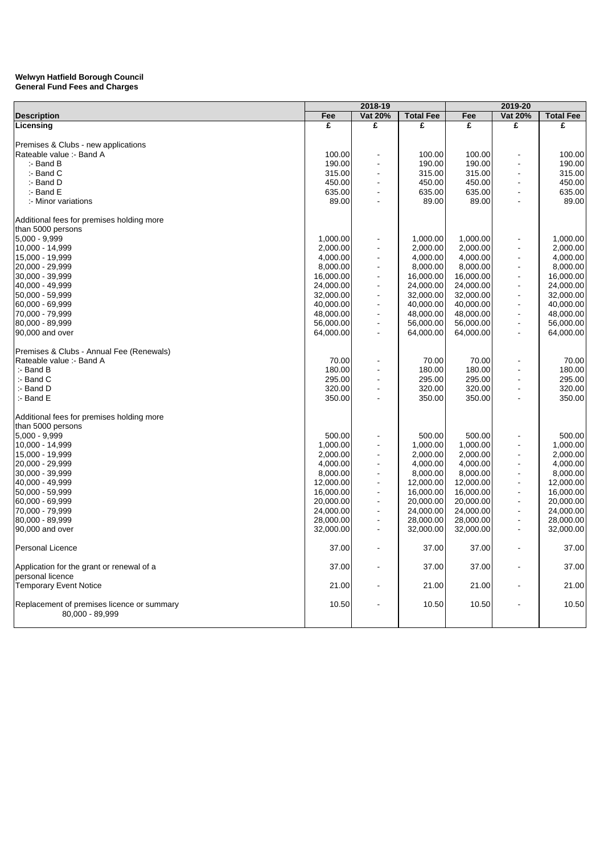|                                            | 2018-19   |                          |                  |           |                          |                  |
|--------------------------------------------|-----------|--------------------------|------------------|-----------|--------------------------|------------------|
| <b>Description</b>                         | Fee       | Vat 20%                  | <b>Total Fee</b> | Fee       | 2019-20<br>Vat 20%       | <b>Total Fee</b> |
| Licensing                                  | £         | £                        | £                | £         | £                        | £                |
|                                            |           |                          |                  |           |                          |                  |
| Premises & Clubs - new applications        |           |                          |                  |           |                          |                  |
| Rateable value :- Band A                   | 100.00    |                          | 100.00           | 100.00    |                          | 100.00           |
| $:$ - Band B                               | 190.00    | $\blacksquare$           | 190.00           | 190.00    |                          | 190.00           |
| :- Band C                                  | 315.00    |                          | 315.00           | 315.00    |                          | 315.00           |
| :- Band D                                  | 450.00    |                          | 450.00           | 450.00    |                          |                  |
|                                            |           |                          |                  |           |                          | 450.00           |
| $:$ - Band E                               | 635.00    | $\blacksquare$           | 635.00           | 635.00    | $\blacksquare$           | 635.00           |
| :- Minor variations                        | 89.00     | $\overline{a}$           | 89.00            | 89.00     | ÷                        | 89.00            |
| Additional fees for premises holding more  |           |                          |                  |           |                          |                  |
| than 5000 persons                          |           |                          |                  |           |                          |                  |
| $5,000 - 9,999$                            | 1,000.00  |                          | 1,000.00         | 1,000.00  |                          | 1,000.00         |
| 10,000 - 14,999                            | 2,000.00  | $\blacksquare$           | 2,000.00         | 2,000.00  |                          | 2,000.00         |
| 15,000 - 19,999                            | 4,000.00  | $\blacksquare$           | 4,000.00         | 4,000.00  | $\blacksquare$           | 4,000.00         |
| 20,000 - 29,999                            | 8,000.00  | $\overline{a}$           | 8,000.00         | 8,000.00  | ÷,                       | 8,000.00         |
|                                            |           |                          |                  |           |                          |                  |
| 30,000 - 39,999                            | 16,000.00 | $\blacksquare$           | 16,000.00        | 16,000.00 | $\blacksquare$           | 16,000.00        |
| 40,000 - 49,999                            | 24,000.00 | $\overline{a}$           | 24,000.00        | 24,000.00 | $\overline{a}$           | 24,000.00        |
| 50,000 - 59,999                            | 32,000.00 | $\overline{a}$           | 32,000.00        | 32,000.00 | ÷,                       | 32,000.00        |
| 60,000 - 69,999                            | 40,000.00 | $\overline{\phantom{a}}$ | 40,000.00        | 40,000.00 | $\blacksquare$           | 40,000.00        |
| 70,000 - 79,999                            | 48,000.00 | $\blacksquare$           | 48,000.00        | 48,000.00 | $\blacksquare$           | 48,000.00        |
| 80,000 - 89,999                            | 56,000.00 | $\overline{a}$           | 56,000.00        | 56,000.00 | $\overline{a}$           | 56,000.00        |
| 90,000 and over                            | 64,000.00 | $\blacksquare$           | 64,000.00        | 64,000.00 | $\blacksquare$           | 64,000.00        |
| Premises & Clubs - Annual Fee (Renewals)   |           |                          |                  |           |                          |                  |
|                                            |           |                          |                  |           |                          |                  |
| Rateable value :- Band A                   | 70.00     | $\overline{\phantom{a}}$ | 70.00            | 70.00     | ÷.                       | 70.00            |
| $:$ - Band B                               | 180.00    | $\blacksquare$           | 180.00           | 180.00    |                          | 180.00           |
| $:$ - Band C                               | 295.00    |                          | 295.00           | 295.00    |                          | 295.00           |
| :- Band D                                  | 320.00    | $\blacksquare$           | 320.00           | 320.00    | $\blacksquare$           | 320.00           |
| :- Band E                                  | 350.00    |                          | 350.00           | 350.00    | $\blacksquare$           | 350.00           |
| Additional fees for premises holding more  |           |                          |                  |           |                          |                  |
| than 5000 persons                          |           |                          |                  |           |                          |                  |
| $5,000 - 9,999$                            | 500.00    |                          | 500.00           | 500.00    |                          | 500.00           |
| 10,000 - 14,999                            | 1,000.00  |                          | 1,000.00         | 1,000.00  |                          | 1,000.00         |
| 15,000 - 19,999                            | 2,000.00  | $\overline{\phantom{a}}$ | 2,000.00         | 2,000.00  | $\overline{\phantom{a}}$ | 2,000.00         |
|                                            |           | $\overline{a}$           |                  |           | ÷,                       |                  |
| 20,000 - 29,999                            | 4,000.00  | $\blacksquare$           | 4,000.00         | 4,000.00  |                          | 4,000.00         |
| 30,000 - 39,999                            | 8,000.00  |                          | 8,000.00         | 8,000.00  | $\blacksquare$           | 8,000.00         |
| 40,000 - 49,999                            | 12,000.00 | $\overline{\phantom{a}}$ | 12,000.00        | 12,000.00 | $\overline{\phantom{a}}$ | 12,000.00        |
| 50,000 - 59,999                            | 16,000.00 | $\overline{a}$           | 16,000.00        | 16,000.00 | $\blacksquare$           | 16,000.00        |
| 60,000 - 69,999                            | 20,000.00 | $\blacksquare$           | 20,000.00        | 20,000.00 | $\blacksquare$           | 20,000.00        |
| 70,000 - 79,999                            | 24,000.00 | $\overline{a}$           | 24,000.00        | 24,000.00 | ÷,                       | 24,000.00        |
| 80,000 - 89,999                            | 28,000.00 | $\overline{a}$           | 28,000.00        | 28,000.00 | $\overline{a}$           | 28,000.00        |
| 90,000 and over                            | 32,000.00 | $\blacksquare$           | 32,000.00        | 32,000.00 | $\blacksquare$           | 32,000.00        |
| Personal Licence                           | 37.00     | $\blacksquare$           | 37.00            | 37.00     |                          | 37.00            |
| Application for the grant or renewal of a  | 37.00     |                          | 37.00            | 37.00     |                          | 37.00            |
| personal licence                           |           |                          |                  |           |                          |                  |
| <b>Temporary Event Notice</b>              | 21.00     | $\blacksquare$           | 21.00            | 21.00     |                          | 21.00            |
|                                            |           |                          |                  |           |                          |                  |
| Replacement of premises licence or summary | 10.50     |                          | 10.50            | 10.50     |                          | 10.50            |
| 80,000 - 89,999                            |           |                          |                  |           |                          |                  |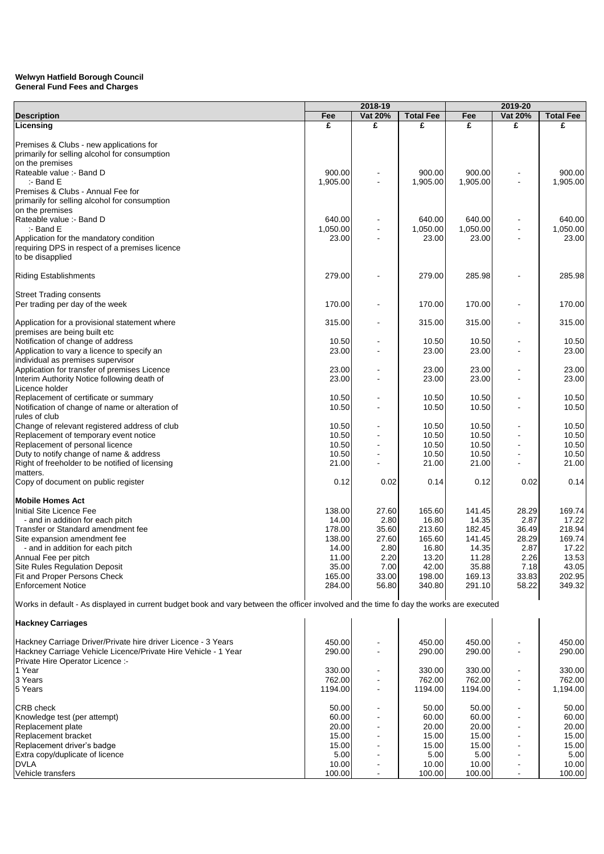## **General Fund Fees and Charges Welwyn Hatfield Borough Council**

|                                                                                                                                         |          | 2018-19                  |                  |          | 2019-20        |                  |
|-----------------------------------------------------------------------------------------------------------------------------------------|----------|--------------------------|------------------|----------|----------------|------------------|
| <b>Description</b>                                                                                                                      | Fee      | Vat 20%                  | <b>Total Fee</b> | Fee      | Vat 20%        | <b>Total Fee</b> |
| Licensing                                                                                                                               | £        | £                        | £                | £        | £              | £                |
|                                                                                                                                         |          |                          |                  |          |                |                  |
| Premises & Clubs - new applications for                                                                                                 |          |                          |                  |          |                |                  |
| primarily for selling alcohol for consumption                                                                                           |          |                          |                  |          |                |                  |
| on the premises                                                                                                                         |          |                          |                  |          |                |                  |
| Rateable value :- Band D                                                                                                                | 900.00   |                          | 900.00           | 900.00   |                | 900.00           |
| :- Band E                                                                                                                               | 1,905.00 |                          | 1,905.00         | 1,905.00 |                | 1,905.00         |
| Premises & Clubs - Annual Fee for                                                                                                       |          |                          |                  |          |                |                  |
| primarily for selling alcohol for consumption                                                                                           |          |                          |                  |          |                |                  |
| on the premises                                                                                                                         |          |                          |                  |          |                |                  |
| Rateable value :- Band D                                                                                                                | 640.00   |                          | 640.00           | 640.00   |                | 640.00           |
| $:$ - Band E                                                                                                                            | 1,050.00 |                          | 1.050.00         | 1,050.00 |                | 1,050.00         |
| Application for the mandatory condition                                                                                                 | 23.00    |                          | 23.00            | 23.00    |                | 23.00            |
| requiring DPS in respect of a premises licence                                                                                          |          |                          |                  |          |                |                  |
| to be disapplied                                                                                                                        |          |                          |                  |          |                |                  |
|                                                                                                                                         |          |                          |                  |          |                |                  |
| <b>Riding Establishments</b>                                                                                                            | 279.00   |                          | 279.00           | 285.98   |                | 285.98           |
|                                                                                                                                         |          |                          |                  |          |                |                  |
| <b>Street Trading consents</b>                                                                                                          |          |                          |                  |          |                |                  |
| Per trading per day of the week                                                                                                         | 170.00   |                          | 170.00           | 170.00   |                | 170.00           |
|                                                                                                                                         |          |                          |                  |          |                |                  |
| Application for a provisional statement where                                                                                           | 315.00   |                          | 315.00           | 315.00   |                | 315.00           |
| premises are being built etc                                                                                                            |          |                          |                  |          |                |                  |
| Notification of change of address                                                                                                       | 10.50    |                          | 10.50            | 10.50    |                | 10.50            |
| Application to vary a licence to specify an                                                                                             | 23.00    |                          | 23.00            | 23.00    |                | 23.00            |
| individual as premises supervisor                                                                                                       |          |                          |                  |          |                |                  |
| Application for transfer of premises Licence                                                                                            | 23.00    |                          | 23.00            | 23.00    |                | 23.00            |
| Interim Authority Notice following death of                                                                                             | 23.00    |                          | 23.00            | 23.00    |                | 23.00            |
|                                                                                                                                         |          |                          |                  |          |                |                  |
| Licence holder                                                                                                                          |          |                          |                  |          |                |                  |
| Replacement of certificate or summary                                                                                                   | 10.50    |                          | 10.50            | 10.50    |                | 10.50            |
| Notification of change of name or alteration of                                                                                         | 10.50    |                          | 10.50            | 10.50    |                | 10.50            |
| rules of club                                                                                                                           |          |                          |                  |          |                |                  |
| Change of relevant registered address of club                                                                                           | 10.50    |                          | 10.50            | 10.50    |                | 10.50            |
| Replacement of temporary event notice                                                                                                   | 10.50    |                          | 10.50            | 10.50    |                | 10.50            |
| Replacement of personal licence                                                                                                         | 10.50    |                          | 10.50            | 10.50    |                | 10.50            |
| Duty to notify change of name & address                                                                                                 | 10.50    |                          | 10.50            | 10.50    |                | 10.50            |
| Right of freeholder to be notified of licensing                                                                                         | 21.00    |                          | 21.00            | 21.00    |                | 21.00            |
| matters.                                                                                                                                |          |                          |                  |          |                |                  |
| Copy of document on public register                                                                                                     | 0.12     | 0.02                     | 0.14             | 0.12     | 0.02           | 0.14             |
|                                                                                                                                         |          |                          |                  |          |                |                  |
| <b>Mobile Homes Act</b>                                                                                                                 |          |                          |                  |          |                |                  |
| Initial Site Licence Fee                                                                                                                | 138.00   | 27.60                    | 165.60           | 141.45   | 28.29          | 169.74           |
| - and in addition for each pitch                                                                                                        | 14.00    | 2.80                     | 16.80            | 14.35    | 2.87           | 17.22            |
| Transfer or Standard amendment fee                                                                                                      | 178.00   | 35.60                    | 213.60           | 182.45   | 36.49          | 218.94           |
| Site expansion amendment fee                                                                                                            | 138.00   | 27.60                    | 165.60           | 141.45   | 28.29          | 169.74           |
| - and in addition for each pitch                                                                                                        | 14.00    | 2.80                     | 16.80            | 14.35    | 2.87           | 17.22            |
| Annual Fee per pitch                                                                                                                    | 11.00    | 2.20                     | 13.20            | 11.28    | 2.26           | 13.53            |
| Site Rules Regulation Deposit                                                                                                           | 35.00    | 7.00                     | 42.00            | 35.88    | 7.18           | 43.05            |
| Fit and Proper Persons Check                                                                                                            | 165.00   | 33.00                    | 198.00           | 169.13   | 33.83          | 202.95           |
| <b>Enforcement Notice</b>                                                                                                               | 284.00   |                          |                  | 291.10   | 58.22          | 349.32           |
|                                                                                                                                         |          | 56.80                    | 340.80           |          |                |                  |
|                                                                                                                                         |          |                          |                  |          |                |                  |
| Works in default - As displayed in current budget book and vary between the officer involved and the time fo day the works are executed |          |                          |                  |          |                |                  |
|                                                                                                                                         |          |                          |                  |          |                |                  |
| <b>Hackney Carriages</b>                                                                                                                |          |                          |                  |          |                |                  |
|                                                                                                                                         |          |                          |                  |          |                |                  |
| Hackney Carriage Driver/Private hire driver Licence - 3 Years                                                                           | 450.00   |                          | 450.00           | 450.00   |                | 450.00           |
| Hackney Carriage Vehicle Licence/Private Hire Vehicle - 1 Year                                                                          | 290.00   |                          | 290.00           | 290.00   |                | 290.00           |
| Private Hire Operator Licence :-                                                                                                        |          |                          |                  |          |                |                  |
| 1 Year                                                                                                                                  | 330.00   |                          | 330.00           | 330.00   |                | 330.00           |
| 3 Years                                                                                                                                 | 762.00   |                          | 762.00           | 762.00   |                | 762.00           |
| 5 Years                                                                                                                                 | 1194.00  | $\overline{\phantom{a}}$ | 1194.00          | 1194.00  | ۰              | 1,194.00         |
|                                                                                                                                         |          |                          |                  |          |                |                  |
| CRB check                                                                                                                               | 50.00    |                          | 50.00            | 50.00    |                | 50.00            |
| Knowledge test (per attempt)                                                                                                            | 60.00    |                          | 60.00            | 60.00    |                | 60.00            |
| Replacement plate                                                                                                                       | 20.00    |                          | 20.00            | 20.00    |                | 20.00            |
| Replacement bracket                                                                                                                     | 15.00    |                          | 15.00            | 15.00    | $\blacksquare$ | 15.00            |
| Replacement driver's badge                                                                                                              | 15.00    |                          | 15.00            | 15.00    |                | 15.00            |
| Extra copy/duplicate of licence                                                                                                         | 5.00     |                          | 5.00             | 5.00     |                | 5.00             |
| <b>DVLA</b>                                                                                                                             | 10.00    |                          | 10.00            | 10.00    |                | 10.00            |
| Vehicle transfers                                                                                                                       | 100.00   |                          | 100.00           | 100.00   |                | 100.00           |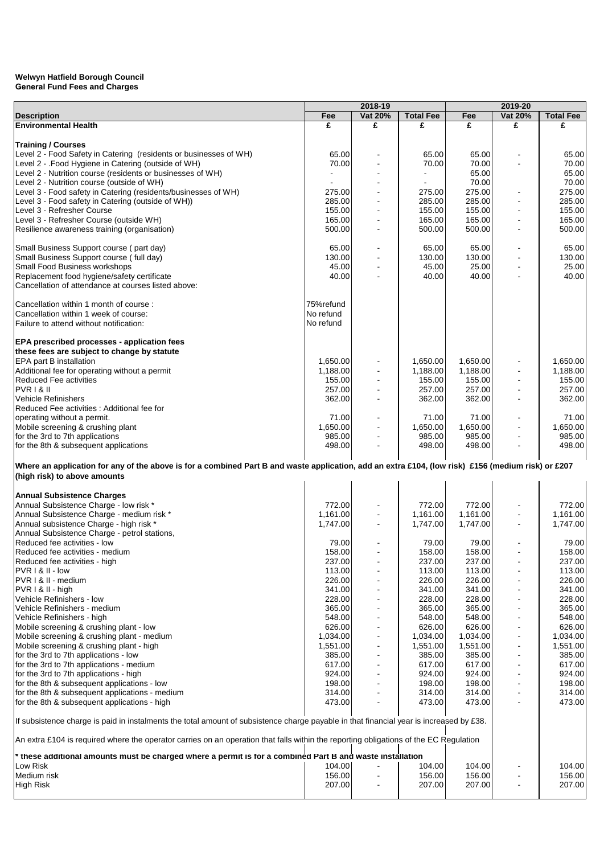|                                                                                                                                                    |                  | 2018-19        |                  |                  | 2019-20                      |                  |
|----------------------------------------------------------------------------------------------------------------------------------------------------|------------------|----------------|------------------|------------------|------------------------------|------------------|
| <b>Description</b>                                                                                                                                 | Fee              | Vat 20%        | <b>Total Fee</b> | Fee              | Vat 20%                      | <b>Total Fee</b> |
| <b>Environmental Health</b>                                                                                                                        | £                | £              | £                | £                | £                            | £                |
|                                                                                                                                                    |                  |                |                  |                  |                              |                  |
| <b>Training / Courses</b>                                                                                                                          |                  |                |                  |                  |                              |                  |
| Level 2 - Food Safety in Catering (residents or businesses of WH)                                                                                  | 65.00            |                | 65.00            | 65.00            |                              | 65.00            |
| Level 2 - . Food Hygiene in Catering (outside of WH)                                                                                               | 70.00            |                | 70.00            | 70.00            |                              | 70.00            |
| Level 2 - Nutrition course (residents or businesses of WH)                                                                                         |                  |                |                  | 65.00            |                              | 65.00            |
| Level 2 - Nutrition course (outside of WH)                                                                                                         |                  |                |                  | 70.00            |                              | 70.00            |
| Level 3 - Food safety in Catering (residents/businesses of WH)                                                                                     | 275.00           |                | 275.00           | 275.00           | ٠                            | 275.00           |
| Level 3 - Food safety in Catering (outside of WH))                                                                                                 | 285.00           |                | 285.00           | 285.00           | $\blacksquare$               | 285.00           |
| Level 3 - Refresher Course                                                                                                                         | 155.00           |                | 155.00           | 155.00           |                              | 155.00           |
| Level 3 - Refresher Course (outside WH)                                                                                                            | 165.00           |                | 165.00           | 165.00           | $\blacksquare$               | 165.00           |
| Resilience awareness training (organisation)                                                                                                       | 500.00           |                | 500.00           | 500.00           | $\overline{\phantom{a}}$     | 500.00           |
| Small Business Support course (part day)                                                                                                           | 65.00            |                | 65.00            | 65.00            | $\qquad \qquad \blacksquare$ | 65.00            |
| Small Business Support course (full day)                                                                                                           | 130.00           | $\blacksquare$ | 130.00           | 130.00           | $\blacksquare$               | 130.00           |
| Small Food Business workshops                                                                                                                      | 45.00            |                | 45.00            | 25.00            |                              | 25.00            |
| Replacement food hygiene/safety certificate                                                                                                        | 40.00            |                | 40.00            | 40.00            |                              | 40.00            |
| Cancellation of attendance at courses listed above:                                                                                                |                  |                |                  |                  |                              |                  |
|                                                                                                                                                    |                  |                |                  |                  |                              |                  |
| Cancellation within 1 month of course:                                                                                                             | 75%refund        |                |                  |                  |                              |                  |
| Cancellation within 1 week of course:                                                                                                              | No refund        |                |                  |                  |                              |                  |
| Failure to attend without notification:                                                                                                            | No refund        |                |                  |                  |                              |                  |
|                                                                                                                                                    |                  |                |                  |                  |                              |                  |
| EPA prescribed processes - application fees                                                                                                        |                  |                |                  |                  |                              |                  |
| these fees are subject to change by statute                                                                                                        |                  |                |                  |                  |                              |                  |
| <b>EPA part B installation</b>                                                                                                                     | 1,650.00         |                | 1,650.00         | 1.650.00         |                              | 1,650.00         |
| Additional fee for operating without a permit                                                                                                      | 1,188.00         |                | 1,188.00         | 1,188.00         |                              | 1,188.00         |
| <b>Reduced Fee activities</b>                                                                                                                      | 155.00           |                | 155.00           | 155.00           |                              | 155.00           |
| PVR I & II                                                                                                                                         | 257.00           |                | 257.00           | 257.00           | $\blacksquare$               | 257.00           |
| <b>Vehicle Refinishers</b>                                                                                                                         | 362.00           |                | 362.00           | 362.00           | $\sim$                       | 362.00           |
| Reduced Fee activities : Additional fee for                                                                                                        |                  |                |                  |                  |                              |                  |
| operating without a permit.                                                                                                                        | 71.00            |                | 71.00            | 71.00            |                              | 71.00            |
| Mobile screening & crushing plant                                                                                                                  | 1,650.00         |                | 1,650.00         | 1,650.00         | $\blacksquare$               | 1,650.00         |
| for the 3rd to 7th applications                                                                                                                    | 985.00<br>498.00 | $\blacksquare$ | 985.00<br>498.00 | 985.00<br>498.00 | $\blacksquare$               | 985.00<br>498.00 |
| for the 8th & subsequent applications                                                                                                              |                  |                |                  |                  |                              |                  |
| Where an application for any of the above is for a combined Part B and waste application, add an extra £104, (low risk) £156 (medium risk) or £207 |                  |                |                  |                  |                              |                  |
| (high risk) to above amounts                                                                                                                       |                  |                |                  |                  |                              |                  |
|                                                                                                                                                    |                  |                |                  |                  |                              |                  |
| <b>Annual Subsistence Charges</b>                                                                                                                  |                  |                |                  |                  |                              |                  |
| Annual Subsistence Charge - low risk *                                                                                                             | 772.00           |                | 772.00           | 772.00           |                              | 772.00           |
| Annual Subsistence Charge - medium risk *                                                                                                          | 1,161.00         |                | 1,161.00         | 1,161.00         |                              | 1,161.00         |
| Annual subsistence Charge - high risk *                                                                                                            | 1,747.00         |                | 1,747.00         | 1,747.00         | $\blacksquare$               | 1,747.00         |
| Annual Subsistence Charge - petrol stations,                                                                                                       |                  |                |                  |                  |                              |                  |
| Reduced fee activities - low                                                                                                                       | 79.00            |                | 79.00            | 79.00            |                              | 79.00            |
| Reduced fee activities - medium                                                                                                                    | 158.00           |                | 158.00           | 158.00           | $\blacksquare$               | 158.00           |
| Reduced fee activities - high                                                                                                                      | 237.00           |                | 237.00           | 237.00           |                              | 237.00           |
| PVR I & II - low                                                                                                                                   | 113.00           |                | 113.00           | 113.00           |                              | 113.00           |
| PVR   & II - medium                                                                                                                                | 226.00           |                | 226.00           | 226.00           |                              | 226.00           |
| PVR I & II - high                                                                                                                                  | 341.00           |                | 341.00           | 341.00           |                              | 341.00           |
| Vehicle Refinishers - low                                                                                                                          | 228.00           |                | 228.00           | 228.00           | $\blacksquare$               | 228.00           |
| Vehicle Refinishers - medium                                                                                                                       | 365.00           |                | 365.00           | 365.00           |                              | 365.00           |
| Vehicle Refinishers - high                                                                                                                         | 548.00           |                | 548.00           | 548.00           | ٠                            | 548.00           |
| Mobile screening & crushing plant - low                                                                                                            | 626.00           | $\blacksquare$ | 626.00           | 626.00           | $\qquad \qquad \blacksquare$ | 626.00           |
| Mobile screening & crushing plant - medium                                                                                                         | 1,034.00         |                | 1,034.00         | 1,034.00         | $\qquad \qquad \blacksquare$ | 1,034.00         |
| Mobile screening & crushing plant - high                                                                                                           | 1,551.00         |                | 1,551.00         | 1,551.00         | $\blacksquare$               | 1,551.00         |
| for the 3rd to 7th applications - low                                                                                                              | 385.00           |                | 385.00           | 385.00           | $\blacksquare$               | 385.00           |
| for the 3rd to 7th applications - medium                                                                                                           | 617.00           |                | 617.00           | 617.00           | $\blacksquare$               | 617.00           |
| for the 3rd to 7th applications - high                                                                                                             | 924.00           |                | 924.00           | 924.00           | $\overline{\phantom{a}}$     | 924.00           |
| for the 8th & subsequent applications - low                                                                                                        | 198.00           | $\blacksquare$ | 198.00           | 198.00           | $\blacksquare$               | 198.00           |
| for the 8th & subsequent applications - medium<br>for the 8th & subsequent applications - high                                                     | 314.00<br>473.00 |                | 314.00<br>473.00 | 314.00           | ٠                            | 314.00           |
|                                                                                                                                                    |                  |                |                  | 473.00           |                              | 473.00           |
|                                                                                                                                                    |                  |                |                  |                  |                              |                  |
| If subsistence charge is paid in instalments the total amount of subsistence charge payable in that financial year is increased by £38.            |                  |                |                  |                  |                              |                  |
| An extra £104 is required where the operator carries on an operation that falls within the reporting obligations of the EC Regulation              |                  |                |                  |                  |                              |                  |
|                                                                                                                                                    |                  |                |                  |                  |                              |                  |
| these additional amounts must be charged where a permit is for a combined Part B and waste installation **                                         |                  |                |                  |                  |                              |                  |
| Low Risk                                                                                                                                           | 104.00           |                | 104.00           | 104.00           |                              | 104.00           |
| Medium risk                                                                                                                                        | 156.00           |                | 156.00           | 156.00           |                              | 156.00           |
| <b>High Risk</b>                                                                                                                                   | 207.00           |                | 207.00           | 207.00           | $\blacksquare$               | 207.00           |
|                                                                                                                                                    |                  |                |                  |                  |                              |                  |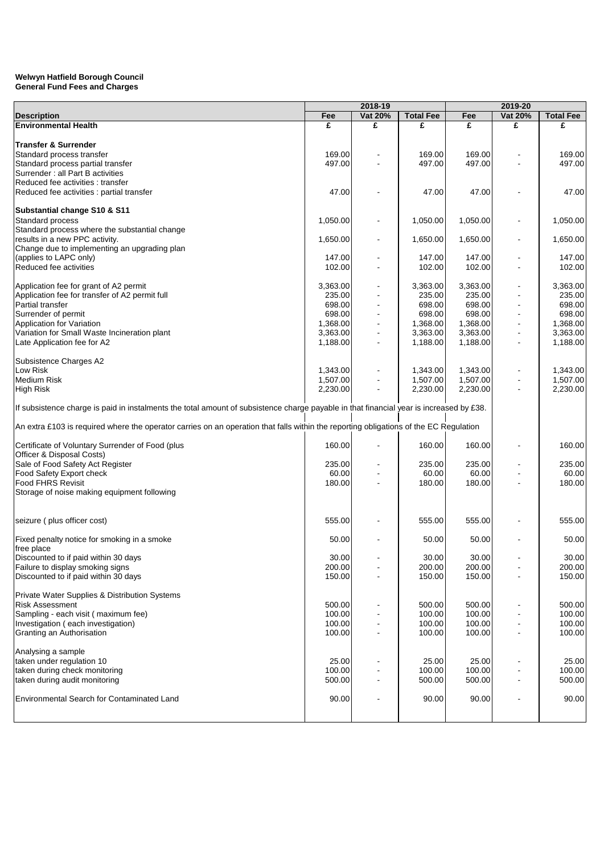|                                                                                                                                         | 2018-19  |                |                  | 2019-20  |                          |                  |
|-----------------------------------------------------------------------------------------------------------------------------------------|----------|----------------|------------------|----------|--------------------------|------------------|
| <b>Description</b>                                                                                                                      | Fee      | Vat 20%        | <b>Total Fee</b> | Fee      | Vat 20%                  | <b>Total Fee</b> |
| <b>Environmental Health</b>                                                                                                             | £        | £              | £                | £        | £                        | £                |
|                                                                                                                                         |          |                |                  |          |                          |                  |
| <b>Transfer &amp; Surrender</b>                                                                                                         |          |                |                  |          |                          |                  |
| Standard process transfer                                                                                                               | 169.00   |                | 169.00           | 169.00   |                          | 169.00           |
| Standard process partial transfer                                                                                                       | 497.00   |                | 497.00           | 497.00   |                          | 497.00           |
| Surrender : all Part B activities                                                                                                       |          |                |                  |          |                          |                  |
| Reduced fee activities: transfer                                                                                                        |          |                |                  |          |                          |                  |
| Reduced fee activities : partial transfer                                                                                               | 47.00    |                | 47.00            | 47.00    |                          | 47.00            |
|                                                                                                                                         |          |                |                  |          |                          |                  |
| Substantial change S10 & S11                                                                                                            |          |                |                  |          |                          |                  |
| Standard process                                                                                                                        | 1,050.00 |                | 1,050.00         | 1,050.00 |                          | 1,050.00         |
| Standard process where the substantial change                                                                                           |          |                |                  |          |                          |                  |
| results in a new PPC activity.                                                                                                          | 1,650.00 |                | 1,650.00         | 1,650.00 |                          | 1,650.00         |
| Change due to implementing an upgrading plan                                                                                            |          |                |                  |          |                          |                  |
| (applies to LAPC only)                                                                                                                  | 147.00   |                | 147.00           | 147.00   |                          | 147.00           |
| Reduced fee activities                                                                                                                  | 102.00   | $\blacksquare$ | 102.00           | 102.00   | $\sim$                   | 102.00           |
|                                                                                                                                         |          |                |                  |          |                          |                  |
|                                                                                                                                         | 3,363.00 |                | 3,363.00         | 3,363.00 |                          | 3,363.00         |
| Application fee for grant of A2 permit                                                                                                  |          |                |                  |          |                          |                  |
| Application fee for transfer of A2 permit full                                                                                          | 235.00   |                | 235.00           | 235.00   |                          | 235.00           |
| Partial transfer                                                                                                                        | 698.00   |                | 698.00           | 698.00   |                          | 698.00           |
| Surrender of permit                                                                                                                     | 698.00   |                | 698.00           | 698.00   |                          | 698.00           |
| Application for Variation                                                                                                               | 1,368.00 |                | 1,368.00         | 1,368.00 |                          | 1,368.00         |
| Variation for Small Waste Incineration plant                                                                                            | 3,363.00 |                | 3,363.00         | 3,363.00 |                          | 3,363.00         |
| Late Application fee for A2                                                                                                             | 1,188.00 |                | 1,188.00         | 1,188.00 |                          | 1,188.00         |
|                                                                                                                                         |          |                |                  |          |                          |                  |
| Subsistence Charges A2                                                                                                                  |          |                |                  |          |                          |                  |
| Low Risk                                                                                                                                | 1,343.00 |                | 1,343.00         | 1,343.00 |                          | 1,343.00         |
| <b>Medium Risk</b>                                                                                                                      | 1,507.00 |                | 1,507.00         | 1,507.00 |                          | 1,507.00         |
| <b>High Risk</b>                                                                                                                        | 2,230.00 | $\overline{a}$ | 2,230.00         | 2,230.00 | $\blacksquare$           | 2,230.00         |
|                                                                                                                                         |          |                |                  |          |                          |                  |
| If subsistence charge is paid in instalments the total amount of subsistence charge payable in that financial year is increased by £38. |          |                |                  |          |                          |                  |
|                                                                                                                                         |          |                |                  |          |                          |                  |
| An extra £103 is required where the operator carries on an operation that falls within the reporting obligations of the EC Regulation   |          |                |                  |          |                          |                  |
|                                                                                                                                         |          |                |                  |          |                          |                  |
| Certificate of Voluntary Surrender of Food (plus                                                                                        | 160.00   |                | 160.00           | 160.00   |                          | 160.00           |
| Officer & Disposal Costs)                                                                                                               |          |                |                  |          |                          |                  |
| Sale of Food Safety Act Register                                                                                                        | 235.00   |                | 235.00           | 235.00   |                          | 235.00           |
| Food Safety Export check                                                                                                                | 60.00    |                | 60.00            | 60.00    |                          | 60.00            |
|                                                                                                                                         |          |                |                  |          |                          |                  |
| <b>Food FHRS Revisit</b>                                                                                                                | 180.00   |                | 180.00           | 180.00   |                          | 180.00           |
| Storage of noise making equipment following                                                                                             |          |                |                  |          |                          |                  |
|                                                                                                                                         |          |                |                  |          |                          |                  |
|                                                                                                                                         |          |                |                  |          |                          |                  |
| seizure (plus officer cost)                                                                                                             | 555.00   |                | 555.00           | 555.00   |                          | 555.00           |
|                                                                                                                                         |          |                |                  |          |                          |                  |
| Fixed penalty notice for smoking in a smoke                                                                                             | 50.00    |                | 50.00            | 50.00    |                          | 50.00            |
| free place                                                                                                                              |          |                |                  |          |                          |                  |
| Discounted to if paid within 30 days                                                                                                    | 30.00    |                | 30.00            | 30.00    |                          | 30.00            |
| Failure to display smoking signs                                                                                                        | 200.00   |                | 200.00           | 200.00   |                          | 200.00           |
| Discounted to if paid within 30 days                                                                                                    | 150.00   |                | 150.00           | 150.00   |                          | 150.00           |
|                                                                                                                                         |          |                |                  |          |                          |                  |
| Private Water Supplies & Distribution Systems                                                                                           |          |                |                  |          |                          |                  |
| <b>Risk Assessment</b>                                                                                                                  | 500.00   |                | 500.00           | 500.00   |                          | 500.00           |
| Sampling - each visit (maximum fee)                                                                                                     | 100.00   | $\blacksquare$ | 100.00           | 100.00   | $\overline{\phantom{a}}$ | 100.00           |
| Investigation (each investigation)                                                                                                      | 100.00   |                | 100.00           | 100.00   | $\overline{\phantom{a}}$ | 100.00           |
| Granting an Authorisation                                                                                                               | 100.00   |                | 100.00           | 100.00   | $\blacksquare$           | 100.00           |
|                                                                                                                                         |          |                |                  |          |                          |                  |
| Analysing a sample                                                                                                                      |          |                |                  |          |                          |                  |
|                                                                                                                                         |          |                |                  |          |                          |                  |
| taken under regulation 10                                                                                                               | 25.00    |                | 25.00            | 25.00    |                          | 25.00            |
| taken during check monitoring                                                                                                           | 100.00   |                | 100.00           | 100.00   | $\blacksquare$           | 100.00           |
| taken during audit monitoring                                                                                                           | 500.00   |                | 500.00           | 500.00   | $\overline{\phantom{a}}$ | 500.00           |
|                                                                                                                                         |          |                |                  |          |                          |                  |
| Environmental Search for Contaminated Land                                                                                              | 90.00    |                | 90.00            | 90.00    | ÷,                       | 90.00            |
|                                                                                                                                         |          |                |                  |          |                          |                  |
|                                                                                                                                         |          |                |                  |          |                          |                  |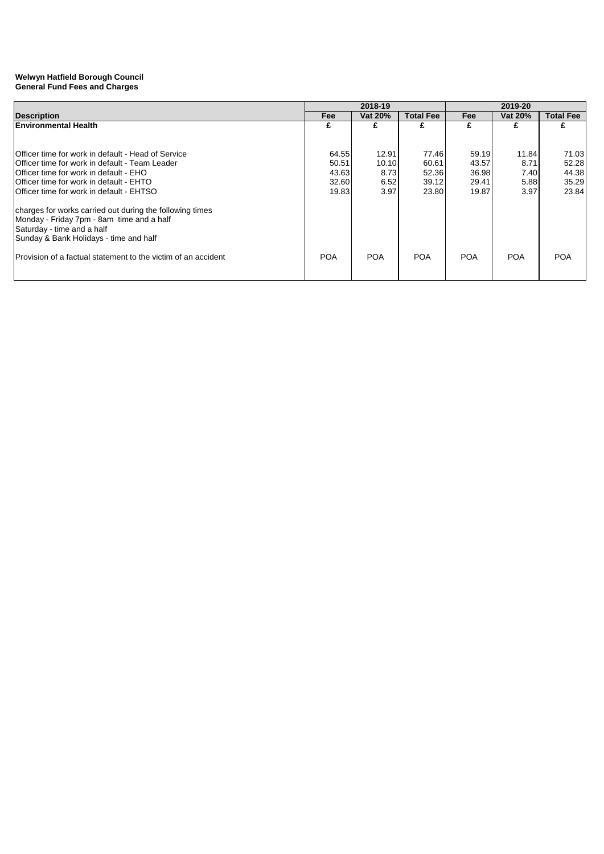|                                                                | 2018-19    |            |                  | 2019-20    |            |                  |  |
|----------------------------------------------------------------|------------|------------|------------------|------------|------------|------------------|--|
| <b>Description</b>                                             | Fee        | Vat 20%    | <b>Total Fee</b> | Fee        | Vat 20%    | <b>Total Fee</b> |  |
| <b>Environmental Health</b>                                    |            |            |                  | £          |            |                  |  |
|                                                                |            |            |                  |            |            |                  |  |
| <b>Officer time for work in default - Head of Service</b>      | 64.55      | 12.91      | 77.46            | 59.19      | 11.84      | 71.03            |  |
| IOfficer time for work in default - Team Leader                | 50.51      | 10.10      | 60.61            | 43.57      | 8.71       | 52.28            |  |
| Officer time for work in default - EHO                         | 43.63      | 8.73       | 52.36            | 36.98      | 7.40       | 44.38            |  |
| <b>IOfficer time for work in default - EHTO</b>                | 32.60      | 6.52       | 39.12            | 29.41      | 5.88       | 35.29            |  |
| <b>Officer time for work in default - EHTSO</b>                | 19.83      | 3.97       | 23.80            | 19.87      | 3.97       | 23.84            |  |
| charges for works carried out during the following times       |            |            |                  |            |            |                  |  |
| Monday - Friday 7pm - 8am time and a half                      |            |            |                  |            |            |                  |  |
| Saturday - time and a half                                     |            |            |                  |            |            |                  |  |
| Sunday & Bank Holidays - time and half                         |            |            |                  |            |            |                  |  |
| IProvision of a factual statement to the victim of an accident | <b>POA</b> | <b>POA</b> | <b>POA</b>       | <b>POA</b> | <b>POA</b> | <b>POA</b>       |  |
|                                                                |            |            |                  |            |            |                  |  |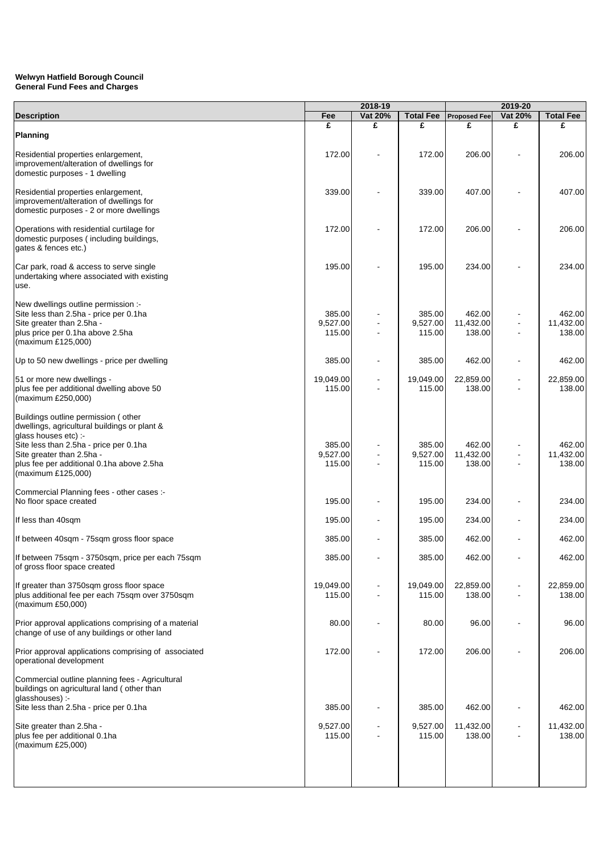|                                                                                                                                                                                                                                                       | 2018-19                      |         |                              |                               | 2019-20        |                               |
|-------------------------------------------------------------------------------------------------------------------------------------------------------------------------------------------------------------------------------------------------------|------------------------------|---------|------------------------------|-------------------------------|----------------|-------------------------------|
| <b>Description</b>                                                                                                                                                                                                                                    | Fee                          | Vat 20% | <b>Total Fee</b>             | <b>Proposed Fee</b>           | Vat 20%        | <b>Total Fee</b>              |
| Planning                                                                                                                                                                                                                                              | £                            | £       | £                            | £                             | £              | £                             |
| Residential properties enlargement,<br>improvement/alteration of dwellings for<br>domestic purposes - 1 dwelling                                                                                                                                      | 172.00                       |         | 172.00                       | 206.00                        |                | 206.00                        |
| Residential properties enlargement,<br>improvement/alteration of dwellings for<br>domestic purposes - 2 or more dwellings                                                                                                                             | 339.00                       |         | 339.00                       | 407.00                        |                | 407.00                        |
| Operations with residential curtilage for<br>domestic purposes (including buildings,<br>gates & fences etc.)                                                                                                                                          | 172.00                       |         | 172.00                       | 206.00                        |                | 206.00                        |
| Car park, road & access to serve single<br>undertaking where associated with existing<br>use.                                                                                                                                                         | 195.00                       |         | 195.00                       | 234.00                        |                | 234.00                        |
| New dwellings outline permission :-<br>Site less than 2.5ha - price per 0.1ha<br>Site greater than 2.5ha -<br>plus price per 0.1ha above 2.5ha<br>(maximum £125,000)                                                                                  | 385.00<br>9,527.00<br>115.00 |         | 385.00<br>9,527.00<br>115.00 | 462.00<br>11,432.00<br>138.00 |                | 462.00<br>11,432.00<br>138.00 |
| Up to 50 new dwellings - price per dwelling                                                                                                                                                                                                           | 385.00                       |         | 385.00                       | 462.00                        |                | 462.00                        |
| 51 or more new dwellings -<br>plus fee per additional dwelling above 50<br>(maximum £250,000)                                                                                                                                                         | 19,049.00<br>115.00          |         | 19,049.00<br>115.00          | 22,859.00<br>138.00           |                | 22,859.00<br>138.00           |
| Buildings outline permission (other<br>dwellings, agricultural buildings or plant &<br>glass houses etc) :-<br>Site less than 2.5ha - price per 0.1ha<br>Site greater than 2.5ha -<br>plus fee per additional 0.1ha above 2.5ha<br>(maximum £125,000) | 385.00<br>9,527.00<br>115.00 |         | 385.00<br>9,527.00<br>115.00 | 462.00<br>11,432.00<br>138.00 | $\blacksquare$ | 462.00<br>11,432.00<br>138.00 |
| Commercial Planning fees - other cases :-<br>No floor space created                                                                                                                                                                                   | 195.00                       |         | 195.00                       | 234.00                        |                | 234.00                        |
| If less than 40sqm                                                                                                                                                                                                                                    | 195.00                       |         | 195.00                       | 234.00                        |                | 234.00                        |
| If between 40sqm - 75sqm gross floor space                                                                                                                                                                                                            | 385.00                       |         | 385.00                       | 462.00                        |                | 462.00                        |
| If between 75sqm - 3750sqm, price per each 75sqm<br>of gross floor space created                                                                                                                                                                      | 385.00                       |         | 385.00                       | 462.00                        |                | 462.00                        |
| If greater than 3750sqm gross floor space<br>plus additional fee per each 75sqm over 3750sqm<br>(maximum £50,000)                                                                                                                                     | 19,049.00<br>115.00          |         | 19,049.00<br>115.00          | 22,859.00<br>138.00           |                | 22,859.00<br>138.00           |
| Prior approval applications comprising of a material<br>change of use of any buildings or other land                                                                                                                                                  | 80.00                        |         | 80.00                        | 96.00                         |                | 96.00                         |
| Prior approval applications comprising of associated<br>operational development                                                                                                                                                                       | 172.00                       |         | 172.00                       | 206.00                        |                | 206.00                        |
| Commercial outline planning fees - Agricultural<br>buildings on agricultural land (other than<br>glasshouses) :-<br>Site less than 2.5ha - price per 0.1ha                                                                                            | 385.00                       |         | 385.00                       | 462.00                        |                | 462.00                        |
|                                                                                                                                                                                                                                                       |                              |         |                              |                               |                |                               |
| Site greater than 2.5ha -<br>plus fee per additional 0.1ha<br>(maximum £25,000)                                                                                                                                                                       | 9,527.00<br>115.00           |         | 9,527.00<br>115.00           | 11,432.00<br>138.00           |                | 11,432.00<br>138.00           |
|                                                                                                                                                                                                                                                       |                              |         |                              |                               |                |                               |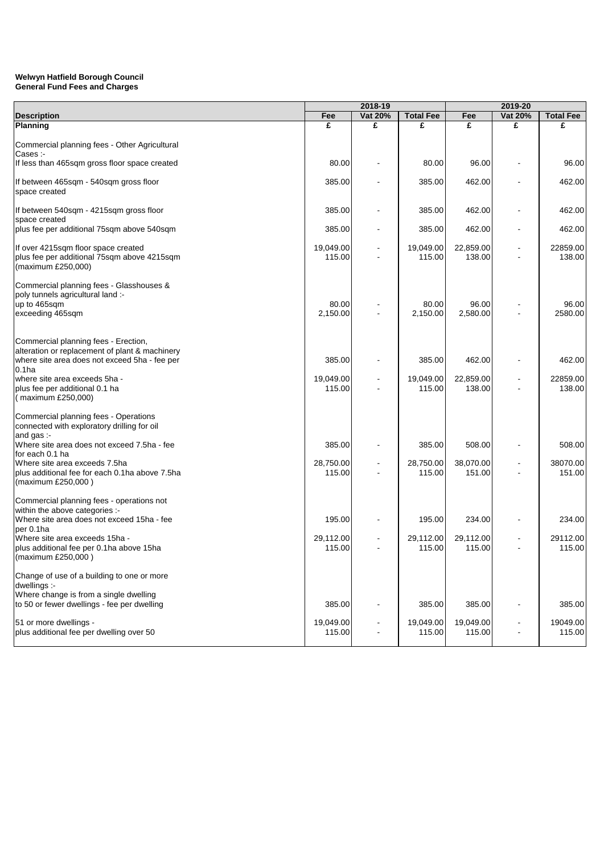|                                                                                                                                                                                                                                                                               | 2018-19                       |                |                               |                               |                |                              |
|-------------------------------------------------------------------------------------------------------------------------------------------------------------------------------------------------------------------------------------------------------------------------------|-------------------------------|----------------|-------------------------------|-------------------------------|----------------|------------------------------|
| <b>Description</b>                                                                                                                                                                                                                                                            | Fee                           | Vat 20%        | <b>Total Fee</b>              | Fee                           | Vat 20%        | <b>Total Fee</b>             |
| <b>Planning</b>                                                                                                                                                                                                                                                               | £                             | £              | £                             | £                             | £              | £                            |
| Commercial planning fees - Other Agricultural<br>Cases :-                                                                                                                                                                                                                     |                               |                |                               |                               |                |                              |
| If less than 465sqm gross floor space created                                                                                                                                                                                                                                 | 80.00                         |                | 80.00                         | 96.00                         |                | 96.00                        |
| If between 465sqm - 540sqm gross floor<br>space created                                                                                                                                                                                                                       | 385.00                        |                | 385.00                        | 462.00                        |                | 462.00                       |
| If between 540sqm - 4215sqm gross floor<br>space created                                                                                                                                                                                                                      | 385.00                        |                | 385.00                        | 462.00                        |                | 462.00                       |
| plus fee per additional 75sqm above 540sqm                                                                                                                                                                                                                                    | 385.00                        |                | 385.00                        | 462.00                        |                | 462.00                       |
| If over 4215sqm floor space created<br>plus fee per additional 75sqm above 4215sqm<br>(maximum £250,000)                                                                                                                                                                      | 19,049.00<br>115.00           |                | 19,049.00<br>115.00           | 22,859.00<br>138.00           |                | 22859.00<br>138.00           |
| Commercial planning fees - Glasshouses &<br>poly tunnels agricultural land :-<br>up to 465sqm<br>exceeding 465sqm                                                                                                                                                             | 80.00<br>2,150.00             |                | 80.00<br>2,150.00             | 96.00<br>2,580.00             |                | 96.00<br>2580.00             |
| Commercial planning fees - Erection,<br>alteration or replacement of plant & machinery<br>where site area does not exceed 5ha - fee per<br>0.1 <sub>ha</sub><br>where site area exceeds 5ha -<br>plus fee per additional 0.1 ha<br>(maximum £250,000)                         | 385.00<br>19,049.00<br>115.00 |                | 385.00<br>19,049.00<br>115.00 | 462.00<br>22,859.00<br>138.00 |                | 462.00<br>22859.00<br>138.00 |
| Commercial planning fees - Operations<br>connected with exploratory drilling for oil<br>and gas :-<br>Where site area does not exceed 7.5ha - fee<br>for each 0.1 ha<br>Where site area exceeds 7.5ha<br>plus additional fee for each 0.1ha above 7.5ha<br>(maximum £250,000) | 385.00<br>28,750.00<br>115.00 |                | 385.00<br>28,750.00<br>115.00 | 508.00<br>38,070.00<br>151.00 |                | 508.00<br>38070.00<br>151.00 |
| Commercial planning fees - operations not<br>within the above categories :-<br>Where site area does not exceed 15ha - fee<br>per 0.1ha<br>Where site area exceeds 15ha -<br>plus additional fee per 0.1ha above 15ha<br>(maximum £250,000)                                    | 195.00<br>29,112.00<br>115.00 | $\blacksquare$ | 195.00<br>29,112.00<br>115.00 | 234.00<br>29,112.00<br>115.00 | $\blacksquare$ | 234.00<br>29112.00<br>115.00 |
| Change of use of a building to one or more<br>dwellings :-<br>Where change is from a single dwelling<br>to 50 or fewer dwellings - fee per dwelling<br>51 or more dwellings -                                                                                                 | 385.00<br>19,049.00           |                | 385.00<br>19,049.00           | 385.00<br>19,049.00           |                | 385.00<br>19049.00           |
| plus additional fee per dwelling over 50                                                                                                                                                                                                                                      | 115.00                        |                | 115.00                        | 115.00                        |                | 115.00                       |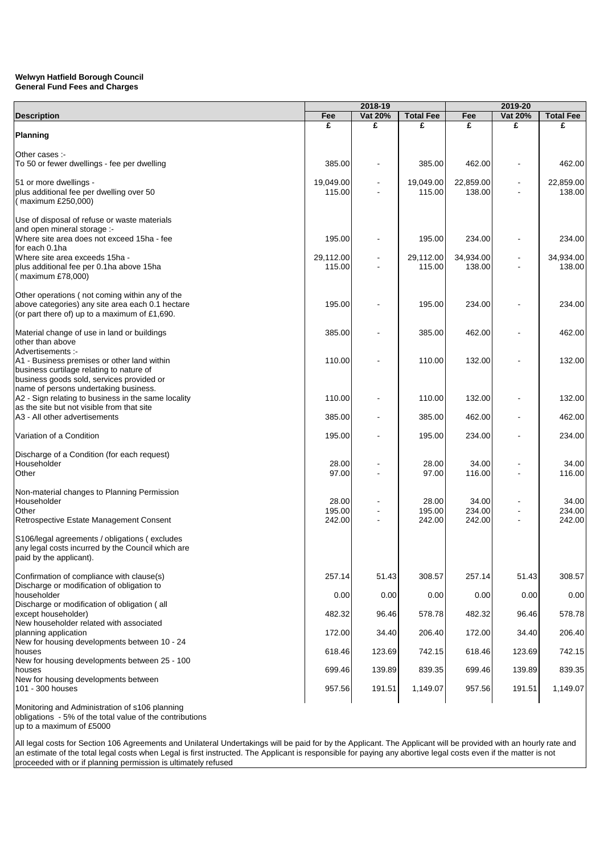|                                                                                                    | 2018-19             |         |                     |                     | 2019-20 |                     |
|----------------------------------------------------------------------------------------------------|---------------------|---------|---------------------|---------------------|---------|---------------------|
| <b>Description</b>                                                                                 | Fee                 | Vat 20% | <b>Total Fee</b>    | Fee                 | Vat 20% | <b>Total Fee</b>    |
|                                                                                                    | £                   | £       | £                   | £                   | £       | £                   |
| <b>Planning</b>                                                                                    |                     |         |                     |                     |         |                     |
| Other cases :-                                                                                     |                     |         |                     |                     |         |                     |
| To 50 or fewer dwellings - fee per dwelling                                                        | 385.00              |         | 385.00              | 462.00              |         | 462.00              |
|                                                                                                    |                     |         |                     |                     |         |                     |
| 51 or more dwellings -<br>plus additional fee per dwelling over 50                                 | 19,049.00<br>115.00 |         | 19,049.00<br>115.00 | 22,859.00<br>138.00 |         | 22,859.00<br>138.00 |
| (maximum £250,000)                                                                                 |                     |         |                     |                     |         |                     |
|                                                                                                    |                     |         |                     |                     |         |                     |
| Use of disposal of refuse or waste materials                                                       |                     |         |                     |                     |         |                     |
| and open mineral storage :-<br>Where site area does not exceed 15ha - fee                          | 195.00              |         | 195.00              | 234.00              |         | 234.00              |
| for each 0.1ha                                                                                     |                     |         |                     |                     |         |                     |
| Where site area exceeds 15ha -                                                                     | 29,112.00           |         | 29,112.00           | 34,934.00           |         | 34,934.00           |
| plus additional fee per 0.1ha above 15ha<br>(maximum £78,000)                                      | 115.00              |         | 115.00              | 138.00              |         | 138.00              |
|                                                                                                    |                     |         |                     |                     |         |                     |
| Other operations (not coming within any of the                                                     |                     |         |                     |                     |         |                     |
| above categories) any site area each 0.1 hectare<br>(or part there of) up to a maximum of £1,690.  | 195.00              |         | 195.00              | 234.00              |         | 234.00              |
|                                                                                                    |                     |         |                     |                     |         |                     |
| Material change of use in land or buildings                                                        | 385.00              |         | 385.00              | 462.00              |         | 462.00              |
| other than above<br>Advertisements :-                                                              |                     |         |                     |                     |         |                     |
| A1 - Business premises or other land within                                                        | 110.00              |         | 110.00              | 132.00              |         | 132.00              |
| business curtilage relating to nature of                                                           |                     |         |                     |                     |         |                     |
| business goods sold, services provided or                                                          |                     |         |                     |                     |         |                     |
| name of persons undertaking business.<br>A2 - Sign relating to business in the same locality       | 110.00              |         | 110.00              | 132.00              |         | 132.00              |
| as the site but not visible from that site                                                         |                     |         |                     |                     |         |                     |
| A3 - All other advertisements                                                                      | 385.00              |         | 385.00              | 462.00              |         | 462.00              |
| Variation of a Condition                                                                           | 195.00              |         | 195.00              | 234.00              |         | 234.00              |
|                                                                                                    |                     |         |                     |                     |         |                     |
| Discharge of a Condition (for each request)                                                        |                     |         |                     |                     |         |                     |
| Householder<br>Other                                                                               | 28.00<br>97.00      |         | 28.00<br>97.00      | 34.00<br>116.00     |         | 34.00<br>116.00     |
|                                                                                                    |                     |         |                     |                     |         |                     |
| Non-material changes to Planning Permission                                                        |                     |         |                     |                     |         |                     |
| Householder<br>Other                                                                               | 28.00<br>195.00     |         | 28.00<br>195.00     | 34.00<br>234.00     |         | 34.00<br>234.00     |
| Retrospective Estate Management Consent                                                            | 242.00              |         | 242.00              | 242.00              |         | 242.00              |
|                                                                                                    |                     |         |                     |                     |         |                     |
| S106/legal agreements / obligations (excludes<br>any legal costs incurred by the Council which are |                     |         |                     |                     |         |                     |
| paid by the applicant).                                                                            |                     |         |                     |                     |         |                     |
|                                                                                                    |                     |         |                     |                     |         |                     |
| Confirmation of compliance with clause(s)<br>Discharge or modification of obligation to            | 257.14              | 51.43   | 308.57              | 257.14              | 51.43   | 308.57              |
| householder                                                                                        | 0.00                | 0.00    | 0.00                | 0.00                | 0.00    | 0.00                |
| Discharge or modification of obligation (all                                                       |                     |         |                     |                     |         |                     |
| except householder)                                                                                | 482.32              | 96.46   | 578.78              | 482.32              | 96.46   | 578.78              |
| New householder related with associated<br>planning application                                    | 172.00              | 34.40   | 206.40              | 172.00              | 34.40   | 206.40              |
| New for housing developments between 10 - 24                                                       |                     |         |                     |                     |         |                     |
| houses                                                                                             | 618.46              | 123.69  | 742.15              | 618.46              | 123.69  | 742.15              |
| New for housing developments between 25 - 100<br>houses                                            | 699.46              | 139.89  | 839.35              | 699.46              | 139.89  | 839.35              |
| New for housing developments between                                                               |                     |         |                     |                     |         |                     |
| 101 - 300 houses                                                                                   | 957.56              | 191.51  | 1,149.07            | 957.56              | 191.51  | 1,149.07            |
|                                                                                                    |                     |         |                     |                     |         |                     |

Monitoring and Administration of s106 planning obligations - 5% of the total value of the contributions up to a maximum of £5000

All legal costs for Section 106 Agreements and Unilateral Undertakings will be paid for by the Applicant. The Applicant will be provided with an hourly rate and an estimate of the total legal costs when Legal is first instructed. The Applicant is responsible for paying any abortive legal costs even if the matter is not proceeded with or if planning permission is ultimately refused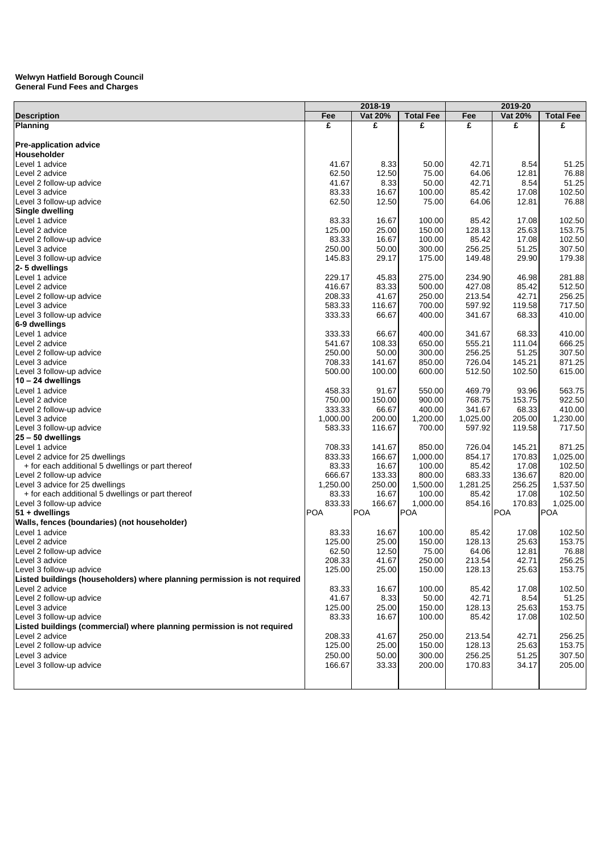|                                                                           |            | 2018-19        |                  |          | 2019-20        |                  |  |
|---------------------------------------------------------------------------|------------|----------------|------------------|----------|----------------|------------------|--|
| <b>Description</b>                                                        | Fee        | <b>Vat 20%</b> | <b>Total Fee</b> | Fee      | <b>Vat 20%</b> | <b>Total Fee</b> |  |
| <b>Planning</b>                                                           | £          | £              | £                | £        | £              | £                |  |
|                                                                           |            |                |                  |          |                |                  |  |
| <b>Pre-application advice</b>                                             |            |                |                  |          |                |                  |  |
| Householder                                                               |            |                |                  |          |                |                  |  |
| Level 1 advice                                                            | 41.67      | 8.33           | 50.00            | 42.71    | 8.54           | 51.25            |  |
| Level 2 advice                                                            | 62.50      | 12.50          | 75.00            | 64.06    | 12.81          | 76.88            |  |
| Level 2 follow-up advice                                                  | 41.67      | 8.33           | 50.00            | 42.71    | 8.54           | 51.25            |  |
| Level 3 advice                                                            | 83.33      | 16.67          | 100.00           | 85.42    | 17.08          | 102.50           |  |
| Level 3 follow-up advice                                                  | 62.50      | 12.50          | 75.00            | 64.06    | 12.81          | 76.88            |  |
| Single dwelling                                                           |            |                |                  |          |                |                  |  |
| Level 1 advice                                                            | 83.33      | 16.67          | 100.00           | 85.42    | 17.08          | 102.50           |  |
| Level 2 advice                                                            | 125.00     | 25.00          | 150.00           | 128.13   | 25.63          | 153.75           |  |
| Level 2 follow-up advice                                                  | 83.33      | 16.67          | 100.00           | 85.42    | 17.08          | 102.50           |  |
| Level 3 advice                                                            | 250.00     | 50.00          | 300.00           | 256.25   | 51.25          | 307.50           |  |
| Level 3 follow-up advice                                                  | 145.83     | 29.17          | 175.00           | 149.48   | 29.90          | 179.38           |  |
| 2-5 dwellings                                                             |            |                |                  |          |                |                  |  |
| Level 1 advice                                                            | 229.17     | 45.83          | 275.00           | 234.90   | 46.98          | 281.88           |  |
| Level 2 advice                                                            | 416.67     | 83.33          | 500.00           | 427.08   | 85.42          | 512.50           |  |
| Level 2 follow-up advice                                                  | 208.33     | 41.67          | 250.00           | 213.54   | 42.71          | 256.25           |  |
|                                                                           | 583.33     |                | 700.00           | 597.92   | 119.58         | 717.50           |  |
| Level 3 advice                                                            | 333.33     | 116.67         |                  |          |                |                  |  |
| Level 3 follow-up advice                                                  |            | 66.67          | 400.00           | 341.67   | 68.33          | 410.00           |  |
| 6-9 dwellings                                                             |            |                |                  |          |                |                  |  |
| Level 1 advice                                                            | 333.33     | 66.67          | 400.00           | 341.67   | 68.33          | 410.00           |  |
| Level 2 advice                                                            | 541.67     | 108.33         | 650.00           | 555.21   | 111.04         | 666.25           |  |
| Level 2 follow-up advice                                                  | 250.00     | 50.00          | 300.00           | 256.25   | 51.25          | 307.50           |  |
| Level 3 advice                                                            | 708.33     | 141.67         | 850.00           | 726.04   | 145.21         | 871.25           |  |
| Level 3 follow-up advice                                                  | 500.00     | 100.00         | 600.00           | 512.50   | 102.50         | 615.00           |  |
| $10 - 24$ dwellings                                                       |            |                |                  |          |                |                  |  |
| Level 1 advice                                                            | 458.33     | 91.67          | 550.00           | 469.79   | 93.96          | 563.75           |  |
| Level 2 advice                                                            | 750.00     | 150.00         | 900.00           | 768.75   | 153.75         | 922.50           |  |
| Level 2 follow-up advice                                                  | 333.33     | 66.67          | 400.00           | 341.67   | 68.33          | 410.00           |  |
| Level 3 advice                                                            | 1,000.00   | 200.00         | 1,200.00         | 1,025.00 | 205.00         | 1,230.00         |  |
| Level 3 follow-up advice                                                  | 583.33     | 116.67         | 700.00           | 597.92   | 119.58         | 717.50           |  |
| $25 - 50$ dwellings                                                       |            |                |                  |          |                |                  |  |
| Level 1 advice                                                            | 708.33     | 141.67         | 850.00           | 726.04   | 145.21         | 871.25           |  |
| Level 2 advice for 25 dwellings                                           | 833.33     | 166.67         | 1,000.00         | 854.17   | 170.83         | 1,025.00         |  |
| + for each additional 5 dwellings or part thereof                         | 83.33      | 16.67          | 100.00           | 85.42    | 17.08          | 102.50           |  |
| Level 2 follow-up advice                                                  | 666.67     | 133.33         | 800.00           | 683.33   | 136.67         | 820.00           |  |
| Level 3 advice for 25 dwellings                                           | 1,250.00   | 250.00         | 1,500.00         | 1,281.25 | 256.25         | 1,537.50         |  |
| + for each additional 5 dwellings or part thereof                         | 83.33      | 16.67          | 100.00           | 85.42    | 17.08          | 102.50           |  |
| Level 3 follow-up advice                                                  | 833.33     | 166.67         | 1,000.00         | 854.16   | 170.83         | 1,025.00         |  |
| 51 + dwellings                                                            | <b>POA</b> | POA            | POA              |          | <b>POA</b>     | POA              |  |
| Walls, fences (boundaries) (not householder)                              |            |                |                  |          |                |                  |  |
| Level 1 advice                                                            | 83.33      | 16.67          | 100.00           | 85.42    | 17.08          | 102.50           |  |
| Level 2 advice                                                            | 125.00     | 25.00          | 150.00           | 128.13   | 25.63          | 153.75           |  |
| Level 2 follow-up advice                                                  | 62.50      | 12.50          | 75.00            | 64.06    | 12.81          | 76.88            |  |
| Level 3 advice                                                            | 208.33     | 41.67          | 250.00           | 213.54   | 42.71          | 256.25           |  |
| Level 3 follow-up advice                                                  | 125.00     | 25.00          | 150.00           | 128.13   | 25.63          | 153.75           |  |
| Listed buildings (householders) where planning permission is not required |            |                |                  |          |                |                  |  |
| Level 2 advice                                                            | 83.33      | 16.67          | 100.00           | 85.42    | 17.08          | 102.50           |  |
| Level 2 follow-up advice                                                  | 41.67      | 8.33           | 50.00            | 42.71    | 8.54           | 51.25            |  |
| Level 3 advice                                                            | 125.00     | 25.00          | 150.00           | 128.13   | 25.63          | 153.75           |  |
|                                                                           |            |                |                  |          |                |                  |  |
| Level 3 follow-up advice                                                  | 83.33      | 16.67          | 100.00           | 85.42    | 17.08          | 102.50           |  |
| Listed buildings (commercial) where planning permission is not required   |            |                |                  |          |                |                  |  |
| Level 2 advice                                                            | 208.33     | 41.67          | 250.00           | 213.54   | 42.71          | 256.25           |  |
| Level 2 follow-up advice                                                  | 125.00     | 25.00          | 150.00           | 128.13   | 25.63          | 153.75           |  |
| Level 3 advice                                                            | 250.00     | 50.00          | 300.00           | 256.25   | 51.25          | 307.50           |  |
| Level 3 follow-up advice                                                  | 166.67     | 33.33          | 200.00           | 170.83   | 34.17          | 205.00           |  |
|                                                                           |            |                |                  |          |                |                  |  |
|                                                                           |            |                |                  |          |                |                  |  |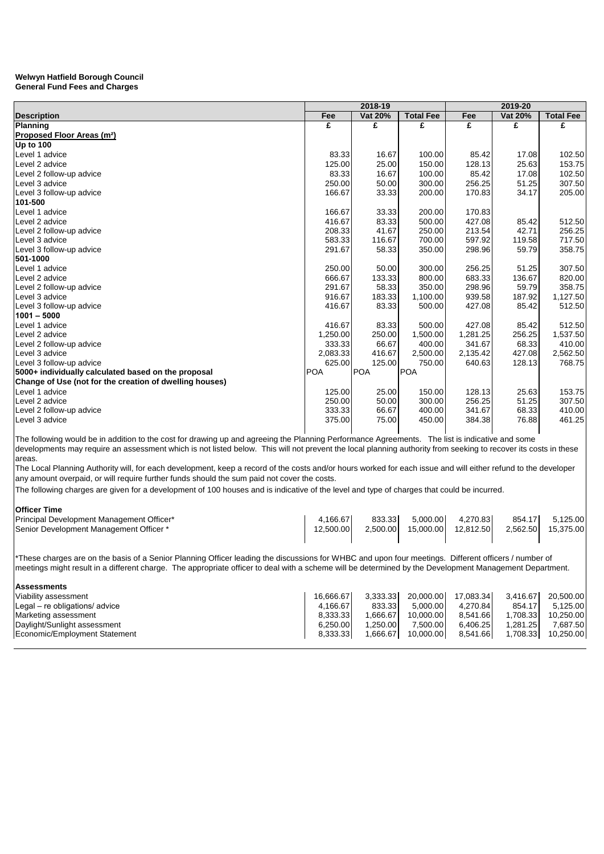|                                                         |            | 2018-19    |                  |          | 2019-20        |                  |  |
|---------------------------------------------------------|------------|------------|------------------|----------|----------------|------------------|--|
| <b>Description</b>                                      | Fee        | Vat 20%    | <b>Total Fee</b> | Fee      | <b>Vat 20%</b> | <b>Total Fee</b> |  |
| Planning                                                | £          | £          | £                | £        | £              | £                |  |
| Proposed Floor Areas (m <sup>2</sup> )                  |            |            |                  |          |                |                  |  |
| <b>Up to 100</b>                                        |            |            |                  |          |                |                  |  |
| Level 1 advice                                          | 83.33      | 16.67      | 100.00           | 85.42    | 17.08          | 102.50           |  |
| Level 2 advice                                          | 125.00     | 25.00      | 150.00           | 128.13   | 25.63          | 153.75           |  |
| Level 2 follow-up advice                                | 83.33      | 16.67      | 100.00           | 85.42    | 17.08          | 102.50           |  |
| Level 3 advice                                          | 250.00     | 50.00      | 300.00           | 256.25   | 51.25          | 307.50           |  |
| Level 3 follow-up advice                                | 166.67     | 33.33      | 200.00           | 170.83   | 34.17          | 205.00           |  |
| 101-500                                                 |            |            |                  |          |                |                  |  |
| Level 1 advice                                          | 166.67     | 33.33      | 200.00           | 170.83   |                |                  |  |
| Level 2 advice                                          | 416.67     | 83.33      | 500.00           | 427.08   | 85.42          | 512.50           |  |
| Level 2 follow-up advice                                | 208.33     | 41.67      | 250.00           | 213.54   | 42.71          | 256.25           |  |
| Level 3 advice                                          | 583.33     | 116.67     | 700.00           | 597.92   | 119.58         | 717.50           |  |
| Level 3 follow-up advice                                | 291.67     | 58.33      | 350.00           | 298.96   | 59.79          | 358.75           |  |
| 501-1000                                                |            |            |                  |          |                |                  |  |
| Level 1 advice                                          | 250.00     | 50.00      | 300.00           | 256.25   | 51.25          | 307.50           |  |
| Level 2 advice                                          | 666.67     | 133.33     | 800.00           | 683.33   | 136.67         | 820.00           |  |
| Level 2 follow-up advice                                | 291.67     | 58.33      | 350.00           | 298.96   | 59.79          | 358.75           |  |
| Level 3 advice                                          | 916.67     | 183.33     | 1,100.00         | 939.58   | 187.92         | 1,127.50         |  |
| Level 3 follow-up advice                                | 416.67     | 83.33      | 500.00           | 427.08   | 85.42          | 512.50           |  |
| $1001 - 5000$                                           |            |            |                  |          |                |                  |  |
| Level 1 advice                                          | 416.67     | 83.33      | 500.00           | 427.08   | 85.42          | 512.50           |  |
| Level 2 advice                                          | 1,250.00   | 250.00     | 1,500.00         | 1,281.25 | 256.25         | 1,537.50         |  |
| Level 2 follow-up advice                                | 333.33     | 66.67      | 400.00           | 341.67   | 68.33          | 410.00           |  |
| Level 3 advice                                          | 2,083.33   | 416.67     | 2,500.00         | 2,135.42 | 427.08         | 2,562.50         |  |
| Level 3 follow-up advice                                | 625.00     | 125.00     | 750.00           | 640.63   | 128.13         | 768.75           |  |
| 5000+ individually calculated based on the proposal     | <b>POA</b> | <b>POA</b> | POA              |          |                |                  |  |
| Change of Use (not for the creation of dwelling houses) |            |            |                  |          |                |                  |  |
| Level 1 advice                                          | 125.00     | 25.00      | 150.00           | 128.13   | 25.63          | 153.75           |  |
| Level 2 advice                                          | 250.00     | 50.00      | 300.00           | 256.25   | 51.25          | 307.50           |  |
| Level 2 follow-up advice                                | 333.33     | 66.67      | 400.00           | 341.67   | 68.33          | 410.00           |  |
| Level 3 advice                                          | 375.00     | 75.00      | 450.00           | 384.38   | 76.88          | 461.25           |  |
|                                                         |            |            |                  |          |                |                  |  |

The following would be in addition to the cost for drawing up and agreeing the Planning Performance Agreements. The list is indicative and some developments may require an assessment which is not listed below. This will not prevent the local planning authority from seeking to recover its costs in these areas.

The Local Planning Authority will, for each development, keep a record of the costs and/or hours worked for each issue and will either refund to the developer any amount overpaid, or will require further funds should the sum paid not cover the costs.

The following charges are given for a development of 100 houses and is indicative of the level and type of charges that could be incurred.

# **Officer Time**

| Principal Development Management Officer* | .166.67    | 833.33   | 5.000.00  | 4.270.83  | 854.17   | 5.125.00  |
|-------------------------------------------|------------|----------|-----------|-----------|----------|-----------|
| Senior Development Management Officer *   | 12.500.001 | 2.500.00 | 15.000.00 | 12.812.50 | 2.562.50 | 15.375.00 |
|                                           |            |          |           |           |          |           |

\*These charges are on the basis of a Senior Planning Officer leading the discussions for WHBC and upon four meetings. Different officers / number of meetings might result in a different charge. The appropriate officer to deal with a scheme will be determined by the Development Management Department.

| lAssessments                   |           |          |           |           |          |           |
|--------------------------------|-----------|----------|-----------|-----------|----------|-----------|
| Viability assessment           | 16.666.67 | 3.333.33 | 20.000.00 | 17.083.34 | 3.416.67 | 20.500.00 |
| Legal – re obligations/ advice | 4.166.67  | 833.33   | 5.000.00  | 4.270.84  | 854.17   | 5.125.00  |
| Marketing assessment           | 8.333.33  | 1.666.67 | 10.000.00 | 8.541.66  | 1.708.33 | 10.250.00 |
| Daylight/Sunlight assessment   | 6.250.00  | 1.250.00 | 7.500.00  | 6.406.25  | 1.281.25 | 7.687.50  |
| Economic/Employment Statement  | 8.333.33  | 1.666.67 | 10.000.00 | 8.541.66  | 1.708.33 | 10,250.00 |